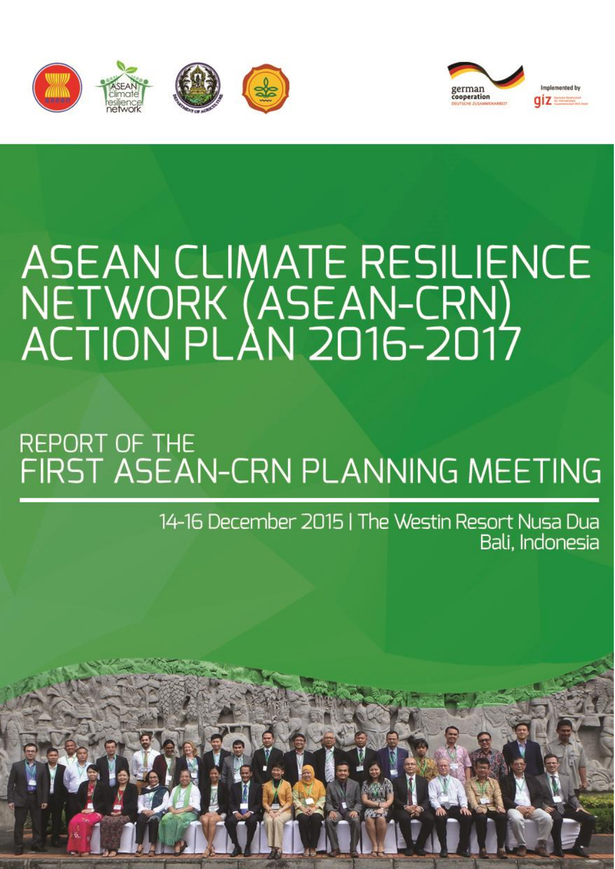



# ASEAN CLIMATE RESILIENCE<br>NETWORK (ASEAN-CRN)<br>ACTION PLAN 2016-2017

# **REPORT OF THE** FIRST ASEAN-CRN PLANNING MEETING

14-16 December 2015 | The Westin Resort Nusa Dua Bali, Indonesia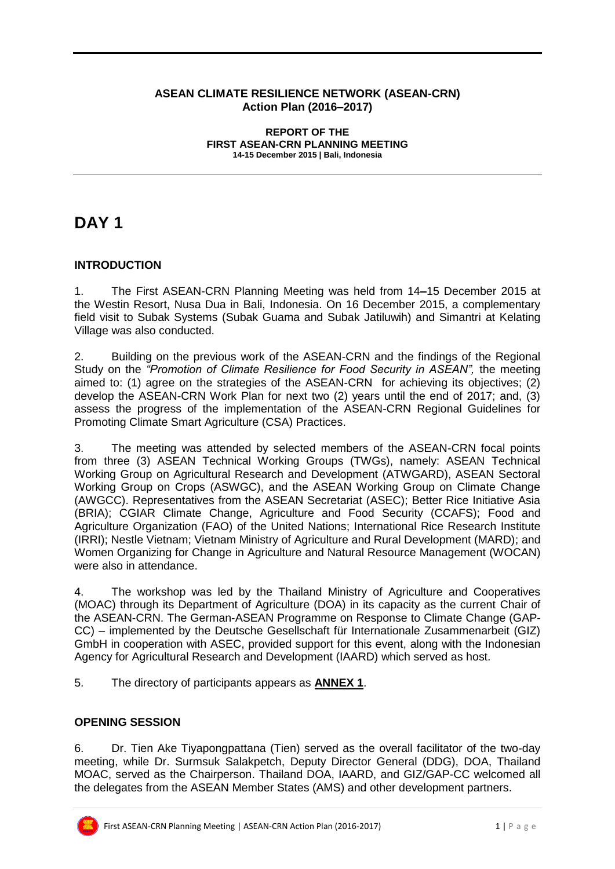#### **ASEAN CLIMATE RESILIENCE NETWORK (ASEAN-CRN) Action Plan (2016–2017)**

#### **REPORT OF THE FIRST ASEAN-CRN PLANNING MEETING 14-15 December 2015 | Bali, Indonesia**

# **DAY 1**

#### **INTRODUCTION**

1. The First ASEAN-CRN Planning Meeting was held from 14**–**15 December 2015 at the Westin Resort, Nusa Dua in Bali, Indonesia. On 16 December 2015, a complementary field visit to Subak Systems (Subak Guama and Subak Jatiluwih) and Simantri at Kelating Village was also conducted.

2. Building on the previous work of the ASEAN-CRN and the findings of the Regional Study on the *"Promotion of Climate Resilience for Food Security in ASEAN",* the meeting aimed to: (1) agree on the strategies of the ASEAN-CRN for achieving its objectives; (2) develop the ASEAN-CRN Work Plan for next two (2) years until the end of 2017; and, (3) assess the progress of the implementation of the ASEAN-CRN Regional Guidelines for Promoting Climate Smart Agriculture (CSA) Practices.

3. The meeting was attended by selected members of the ASEAN-CRN focal points from three (3) ASEAN Technical Working Groups (TWGs), namely: ASEAN Technical Working Group on Agricultural Research and Development (ATWGARD), ASEAN Sectoral Working Group on Crops (ASWGC), and the ASEAN Working Group on Climate Change (AWGCC). Representatives from the ASEAN Secretariat (ASEC); Better Rice Initiative Asia (BRIA); CGIAR Climate Change, Agriculture and Food Security (CCAFS); Food and Agriculture Organization (FAO) of the United Nations; International Rice Research Institute (IRRI); Nestle Vietnam; Vietnam Ministry of Agriculture and Rural Development (MARD); and Women Organizing for Change in Agriculture and Natural Resource Management (WOCAN) were also in attendance.

4. The workshop was led by the Thailand Ministry of Agriculture and Cooperatives (MOAC) through its Department of Agriculture (DOA) in its capacity as the current Chair of the ASEAN-CRN. The German-ASEAN Programme on Response to Climate Change (GAP-CC) – implemented by the Deutsche Gesellschaft für Internationale Zusammenarbeit (GIZ) GmbH in cooperation with ASEC, provided support for this event, along with the Indonesian Agency for Agricultural Research and Development (IAARD) which served as host.

5. The directory of participants appears as **ANNEX 1**.

#### **OPENING SESSION**

6. Dr. Tien Ake Tiyapongpattana (Tien) served as the overall facilitator of the two-day meeting, while Dr. Surmsuk Salakpetch, Deputy Director General (DDG), DOA, Thailand MOAC, served as the Chairperson. Thailand DOA, IAARD, and GIZ/GAP-CC welcomed all the delegates from the ASEAN Member States (AMS) and other development partners.

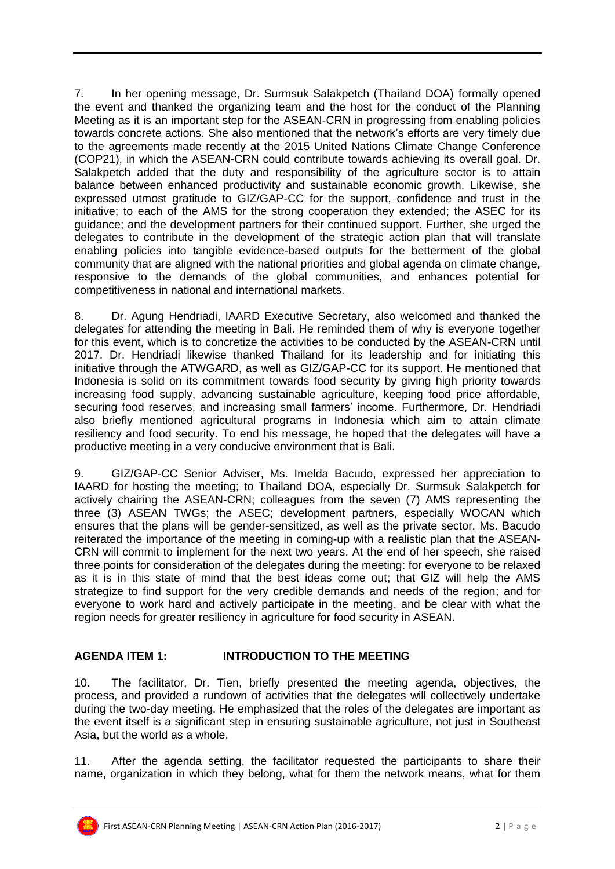7. In her opening message, Dr. Surmsuk Salakpetch (Thailand DOA) formally opened the event and thanked the organizing team and the host for the conduct of the Planning Meeting as it is an important step for the ASEAN-CRN in progressing from enabling policies towards concrete actions. She also mentioned that the network's efforts are very timely due to the agreements made recently at the 2015 United Nations Climate Change Conference (COP21), in which the ASEAN-CRN could contribute towards achieving its overall goal. Dr. Salakpetch added that the duty and responsibility of the agriculture sector is to attain balance between enhanced productivity and sustainable economic growth. Likewise, she expressed utmost gratitude to GIZ/GAP-CC for the support, confidence and trust in the initiative; to each of the AMS for the strong cooperation they extended; the ASEC for its guidance; and the development partners for their continued support. Further, she urged the delegates to contribute in the development of the strategic action plan that will translate enabling policies into tangible evidence-based outputs for the betterment of the global community that are aligned with the national priorities and global agenda on climate change, responsive to the demands of the global communities, and enhances potential for competitiveness in national and international markets.

8. Dr. Agung Hendriadi, IAARD Executive Secretary, also welcomed and thanked the delegates for attending the meeting in Bali. He reminded them of why is everyone together for this event, which is to concretize the activities to be conducted by the ASEAN-CRN until 2017. Dr. Hendriadi likewise thanked Thailand for its leadership and for initiating this initiative through the ATWGARD, as well as GIZ/GAP-CC for its support. He mentioned that Indonesia is solid on its commitment towards food security by giving high priority towards increasing food supply, advancing sustainable agriculture, keeping food price affordable, securing food reserves, and increasing small farmers' income. Furthermore, Dr. Hendriadi also briefly mentioned agricultural programs in Indonesia which aim to attain climate resiliency and food security. To end his message, he hoped that the delegates will have a productive meeting in a very conducive environment that is Bali.

9. GIZ/GAP-CC Senior Adviser, Ms. Imelda Bacudo, expressed her appreciation to IAARD for hosting the meeting; to Thailand DOA, especially Dr. Surmsuk Salakpetch for actively chairing the ASEAN-CRN; colleagues from the seven (7) AMS representing the three (3) ASEAN TWGs; the ASEC; development partners, especially WOCAN which ensures that the plans will be gender-sensitized, as well as the private sector. Ms. Bacudo reiterated the importance of the meeting in coming-up with a realistic plan that the ASEAN-CRN will commit to implement for the next two years. At the end of her speech, she raised three points for consideration of the delegates during the meeting: for everyone to be relaxed as it is in this state of mind that the best ideas come out; that GIZ will help the AMS strategize to find support for the very credible demands and needs of the region; and for everyone to work hard and actively participate in the meeting, and be clear with what the region needs for greater resiliency in agriculture for food security in ASEAN.

#### **AGENDA ITEM 1: INTRODUCTION TO THE MEETING**

10. The facilitator, Dr. Tien, briefly presented the meeting agenda, objectives, the process, and provided a rundown of activities that the delegates will collectively undertake during the two-day meeting. He emphasized that the roles of the delegates are important as the event itself is a significant step in ensuring sustainable agriculture, not just in Southeast Asia, but the world as a whole.

11. After the agenda setting, the facilitator requested the participants to share their name, organization in which they belong, what for them the network means, what for them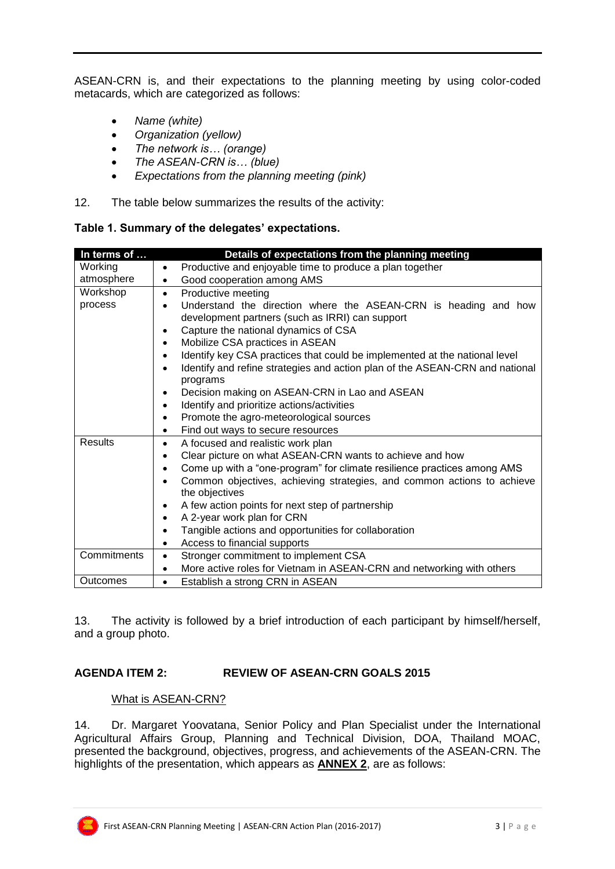ASEAN-CRN is, and their expectations to the planning meeting by using color-coded metacards, which are categorized as follows:

- *Name (white)*
- *Organization (yellow)*
- *The network is… (orange)*
- *The ASEAN-CRN is… (blue)*
- *Expectations from the planning meeting (pink)*
- 12. The table below summarizes the results of the activity:

|  |  |  |  |  | Table 1. Summary of the delegates' expectations. |
|--|--|--|--|--|--------------------------------------------------|
|--|--|--|--|--|--------------------------------------------------|

| In terms of    | Details of expectations from the planning meeting                                                     |
|----------------|-------------------------------------------------------------------------------------------------------|
| Working        | Productive and enjoyable time to produce a plan together<br>$\bullet$                                 |
| atmosphere     | Good cooperation among AMS<br>$\bullet$                                                               |
| Workshop       | Productive meeting<br>$\bullet$                                                                       |
| process        | Understand the direction where the ASEAN-CRN is heading and how                                       |
|                | development partners (such as IRRI) can support                                                       |
|                | Capture the national dynamics of CSA<br>$\bullet$                                                     |
|                | Mobilize CSA practices in ASEAN<br>$\bullet$                                                          |
|                | Identify key CSA practices that could be implemented at the national level<br>$\bullet$               |
|                | Identify and refine strategies and action plan of the ASEAN-CRN and national<br>$\bullet$<br>programs |
|                | Decision making on ASEAN-CRN in Lao and ASEAN<br>٠                                                    |
|                | Identify and prioritize actions/activities<br>$\bullet$                                               |
|                | Promote the agro-meteorological sources<br>$\bullet$                                                  |
|                | Find out ways to secure resources<br>$\bullet$                                                        |
| <b>Results</b> | A focused and realistic work plan<br>$\bullet$                                                        |
|                | Clear picture on what ASEAN-CRN wants to achieve and how<br>$\bullet$                                 |
|                | Come up with a "one-program" for climate resilience practices among AMS<br>$\bullet$                  |
|                | Common objectives, achieving strategies, and common actions to achieve<br>$\bullet$<br>the objectives |
|                | A few action points for next step of partnership<br>$\bullet$                                         |
|                | A 2-year work plan for CRN<br>$\bullet$                                                               |
|                | Tangible actions and opportunities for collaboration<br>$\bullet$                                     |
|                | Access to financial supports<br>$\bullet$                                                             |
| Commitments    | Stronger commitment to implement CSA<br>$\bullet$                                                     |
|                | More active roles for Vietnam in ASEAN-CRN and networking with others<br>$\bullet$                    |
| Outcomes       | Establish a strong CRN in ASEAN<br>$\bullet$                                                          |

13. The activity is followed by a brief introduction of each participant by himself/herself, and a group photo.

#### **AGENDA ITEM 2: REVIEW OF ASEAN-CRN GOALS 2015**

#### What is ASEAN-CRN?

14. Dr. Margaret Yoovatana, Senior Policy and Plan Specialist under the International Agricultural Affairs Group, Planning and Technical Division, DOA, Thailand MOAC, presented the background, objectives, progress, and achievements of the ASEAN-CRN. The highlights of the presentation, which appears as **ANNEX 2**, are as follows: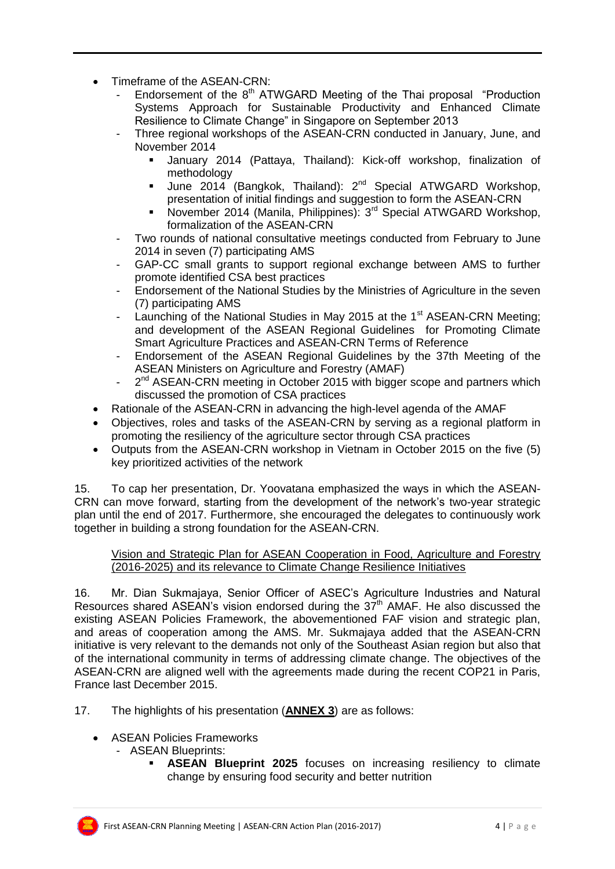- Timeframe of the ASEAN-CRN:
	- Endorsement of the  $8<sup>th</sup>$  ATWGARD Meeting of the Thai proposal "Production Systems Approach for Sustainable Productivity and Enhanced Climate Resilience to Climate Change" in Singapore on September 2013
	- Three regional workshops of the ASEAN-CRN conducted in January, June, and November 2014
		- January 2014 (Pattaya, Thailand): Kick-off workshop, finalization of methodology
		- June 2014 (Bangkok, Thailand): 2<sup>nd</sup> Special ATWGARD Workshop, presentation of initial findings and suggestion to form the ASEAN-CRN
		- November 2014 (Manila, Philippines):  $3<sup>rd</sup>$  Special ATWGARD Workshop, formalization of the ASEAN-CRN
	- Two rounds of national consultative meetings conducted from February to June 2014 in seven (7) participating AMS
	- GAP-CC small grants to support regional exchange between AMS to further promote identified CSA best practices
	- Endorsement of the National Studies by the Ministries of Agriculture in the seven (7) participating AMS
	- Launching of the National Studies in May 2015 at the  $1<sup>st</sup>$  ASEAN-CRN Meeting; and development of the ASEAN Regional Guidelines for Promoting Climate Smart Agriculture Practices and ASEAN-CRN Terms of Reference
	- Endorsement of the ASEAN Regional Guidelines by the 37th Meeting of the ASEAN Ministers on Agriculture and Forestry (AMAF)
	- 2<sup>nd</sup> ASEAN-CRN meeting in October 2015 with bigger scope and partners which discussed the promotion of CSA practices
- Rationale of the ASEAN-CRN in advancing the high-level agenda of the AMAF
- Objectives, roles and tasks of the ASEAN-CRN by serving as a regional platform in promoting the resiliency of the agriculture sector through CSA practices
- Outputs from the ASEAN-CRN workshop in Vietnam in October 2015 on the five (5) key prioritized activities of the network

15. To cap her presentation, Dr. Yoovatana emphasized the ways in which the ASEAN-CRN can move forward, starting from the development of the network's two-year strategic plan until the end of 2017. Furthermore, she encouraged the delegates to continuously work together in building a strong foundation for the ASEAN-CRN.

#### Vision and Strategic Plan for ASEAN Cooperation in Food, Agriculture and Forestry (2016-2025) and its relevance to Climate Change Resilience Initiatives

16. Mr. Dian Sukmajaya, Senior Officer of ASEC's Agriculture Industries and Natural Resources shared ASEAN's vision endorsed during the  $37<sup>th</sup>$  AMAF. He also discussed the existing ASEAN Policies Framework, the abovementioned FAF vision and strategic plan. and areas of cooperation among the AMS. Mr. Sukmajaya added that the ASEAN-CRN initiative is very relevant to the demands not only of the Southeast Asian region but also that of the international community in terms of addressing climate change. The objectives of the ASEAN-CRN are aligned well with the agreements made during the recent COP21 in Paris, France last December 2015.

17. The highlights of his presentation (**ANNEX 3**) are as follows:

- ASEAN Policies Frameworks
	- ASEAN Blueprints:
		- **ASEAN Blueprint 2025** focuses on increasing resiliency to climate change by ensuring food security and better nutrition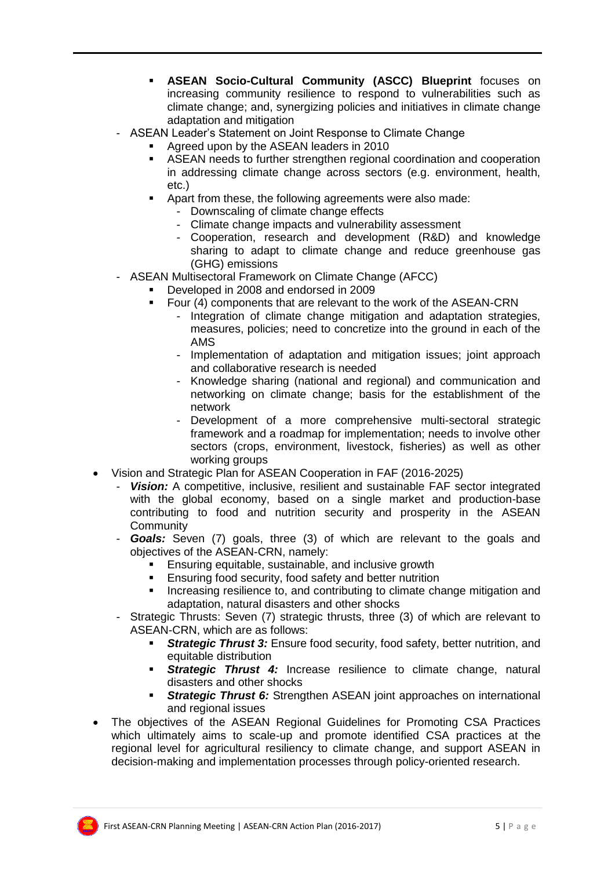- **ASEAN Socio-Cultural Community (ASCC) Blueprint** focuses on increasing community resilience to respond to vulnerabilities such as climate change; and, synergizing policies and initiatives in climate change adaptation and mitigation
- ASEAN Leader's Statement on Joint Response to Climate Change
	- Agreed upon by the ASEAN leaders in 2010
	- ASEAN needs to further strengthen regional coordination and cooperation in addressing climate change across sectors (e.g. environment, health, etc.)
	- Apart from these, the following agreements were also made:
		- Downscaling of climate change effects
			- Climate change impacts and vulnerability assessment
			- Cooperation, research and development (R&D) and knowledge sharing to adapt to climate change and reduce greenhouse gas (GHG) emissions
- ASEAN Multisectoral Framework on Climate Change (AFCC)
	- Developed in 2008 and endorsed in 2009
	- **F** Four (4) components that are relevant to the work of the ASEAN-CRN
		- Integration of climate change mitigation and adaptation strategies, measures, policies; need to concretize into the ground in each of the AMS
		- Implementation of adaptation and mitigation issues; joint approach and collaborative research is needed
		- Knowledge sharing (national and regional) and communication and networking on climate change; basis for the establishment of the network
		- Development of a more comprehensive multi-sectoral strategic framework and a roadmap for implementation; needs to involve other sectors (crops, environment, livestock, fisheries) as well as other working groups
- Vision and Strategic Plan for ASEAN Cooperation in FAF (2016-2025)
	- *Vision:* A competitive, inclusive, resilient and sustainable FAF sector integrated with the global economy, based on a single market and production-base contributing to food and nutrition security and prosperity in the ASEAN **Community**
	- *Goals:* Seven (7) goals, three (3) of which are relevant to the goals and objectives of the ASEAN-CRN, namely:
		- **Ensuring equitable, sustainable, and inclusive growth**
		- Ensuring food security, food safety and better nutrition
		- Increasing resilience to, and contributing to climate change mitigation and adaptation, natural disasters and other shocks
	- Strategic Thrusts: Seven (7) strategic thrusts, three (3) of which are relevant to ASEAN-CRN, which are as follows:
		- *Strategic Thrust 3:* Ensure food security, food safety, better nutrition, and equitable distribution
		- **Strategic Thrust 4:** Increase resilience to climate change, natural disasters and other shocks
		- **Strategic Thrust 6:** Strengthen ASEAN joint approaches on international and regional issues
- The objectives of the ASEAN Regional Guidelines for Promoting CSA Practices which ultimately aims to scale-up and promote identified CSA practices at the regional level for agricultural resiliency to climate change, and support ASEAN in decision-making and implementation processes through policy-oriented research.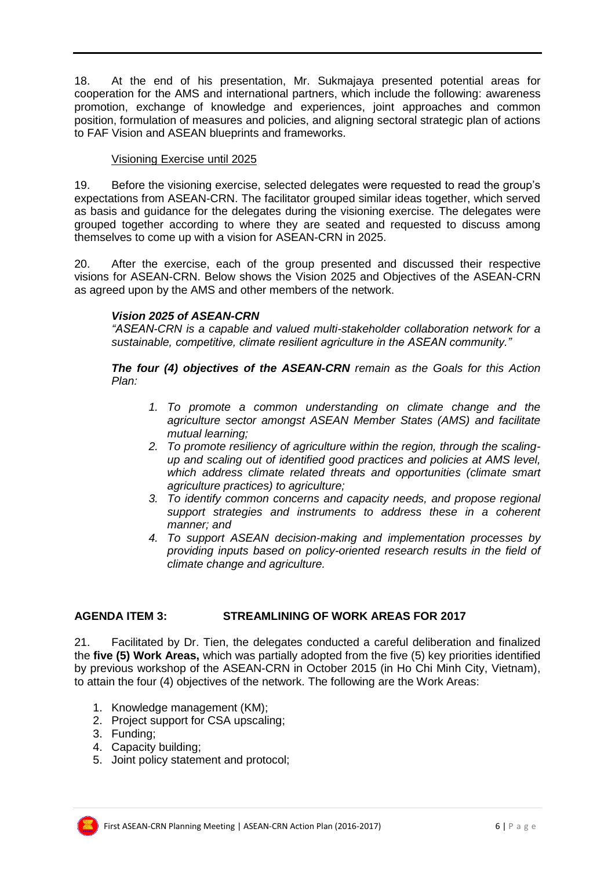18. At the end of his presentation, Mr. Sukmajaya presented potential areas for cooperation for the AMS and international partners, which include the following: awareness promotion, exchange of knowledge and experiences, joint approaches and common position, formulation of measures and policies, and aligning sectoral strategic plan of actions to FAF Vision and ASEAN blueprints and frameworks.

#### Visioning Exercise until 2025

19. Before the visioning exercise, selected delegates were requested to read the group's expectations from ASEAN-CRN. The facilitator grouped similar ideas together, which served as basis and guidance for the delegates during the visioning exercise. The delegates were grouped together according to where they are seated and requested to discuss among themselves to come up with a vision for ASEAN-CRN in 2025.

20. After the exercise, each of the group presented and discussed their respective visions for ASEAN-CRN. Below shows the Vision 2025 and Objectives of the ASEAN-CRN as agreed upon by the AMS and other members of the network.

#### *Vision 2025 of ASEAN-CRN*

*"ASEAN-CRN is a capable and valued multi-stakeholder collaboration network for a sustainable, competitive, climate resilient agriculture in the ASEAN community."*

*The four (4) objectives of the ASEAN-CRN remain as the Goals for this Action Plan:*

- *1. To promote a common understanding on climate change and the agriculture sector amongst ASEAN Member States (AMS) and facilitate mutual learning;*
- *2. To promote resiliency of agriculture within the region, through the scalingup and scaling out of identified good practices and policies at AMS level, which address climate related threats and opportunities (climate smart agriculture practices) to agriculture;*
- *3. To identify common concerns and capacity needs, and propose regional support strategies and instruments to address these in a coherent manner; and*
- *4. To support ASEAN decision-making and implementation processes by providing inputs based on policy-oriented research results in the field of climate change and agriculture.*

#### **AGENDA ITEM 3: STREAMLINING OF WORK AREAS FOR 2017**

21. Facilitated by Dr. Tien, the delegates conducted a careful deliberation and finalized the **five (5) Work Areas,** which was partially adopted from the five (5) key priorities identified by previous workshop of the ASEAN-CRN in October 2015 (in Ho Chi Minh City, Vietnam), to attain the four (4) objectives of the network. The following are the Work Areas:

- 1. Knowledge management (KM);
- 2. Project support for CSA upscaling;
- 3. Funding;
- 4. Capacity building;
- 5. Joint policy statement and protocol;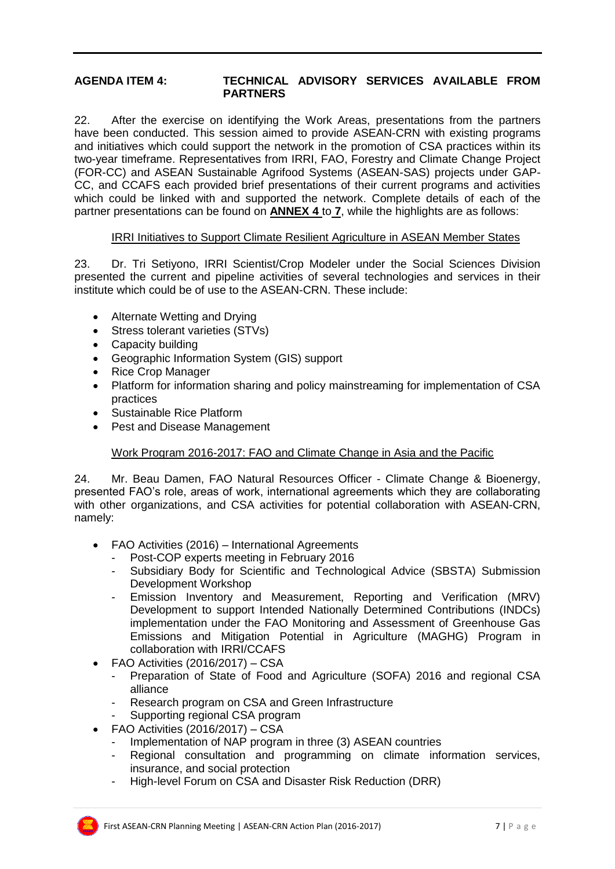#### **AGENDA ITEM 4: TECHNICAL ADVISORY SERVICES AVAILABLE FROM PARTNERS**

22. After the exercise on identifying the Work Areas, presentations from the partners have been conducted. This session aimed to provide ASEAN-CRN with existing programs and initiatives which could support the network in the promotion of CSA practices within its two-year timeframe. Representatives from IRRI, FAO, Forestry and Climate Change Project (FOR-CC) and ASEAN Sustainable Agrifood Systems (ASEAN-SAS) projects under GAP-CC, and CCAFS each provided brief presentations of their current programs and activities which could be linked with and supported the network. Complete details of each of the partner presentations can be found on **ANNEX 4** to **7**, while the highlights are as follows:

#### IRRI Initiatives to Support Climate Resilient Agriculture in ASEAN Member States

23. Dr. Tri Setiyono, IRRI Scientist/Crop Modeler under the Social Sciences Division presented the current and pipeline activities of several technologies and services in their institute which could be of use to the ASEAN-CRN. These include:

- Alternate Wetting and Drying
- Stress tolerant varieties (STVs)
- Capacity building
- Geographic Information System (GIS) support
- Rice Crop Manager
- Platform for information sharing and policy mainstreaming for implementation of CSA practices
- Sustainable Rice Platform
- Pest and Disease Management

#### Work Program 2016-2017: FAO and Climate Change in Asia and the Pacific

24. Mr. Beau Damen, FAO Natural Resources Officer - Climate Change & Bioenergy, presented FAO's role, areas of work, international agreements which they are collaborating with other organizations, and CSA activities for potential collaboration with ASEAN-CRN, namely:

- FAO Activities (2016) International Agreements
	- Post-COP experts meeting in February 2016
	- Subsidiary Body for Scientific and Technological Advice (SBSTA) Submission Development Workshop
	- Emission Inventory and Measurement, Reporting and Verification (MRV) Development to support Intended Nationally Determined Contributions (INDCs) implementation under the FAO Monitoring and Assessment of Greenhouse Gas Emissions and Mitigation Potential in Agriculture (MAGHG) Program in collaboration with IRRI/CCAFS
- FAO Activities (2016/2017) CSA
	- Preparation of State of Food and Agriculture (SOFA) 2016 and regional CSA alliance
	- Research program on CSA and Green Infrastructure
	- Supporting regional CSA program
- FAO Activities (2016/2017) CSA
	- Implementation of NAP program in three (3) ASEAN countries
	- Regional consultation and programming on climate information services, insurance, and social protection
	- High-level Forum on CSA and Disaster Risk Reduction (DRR)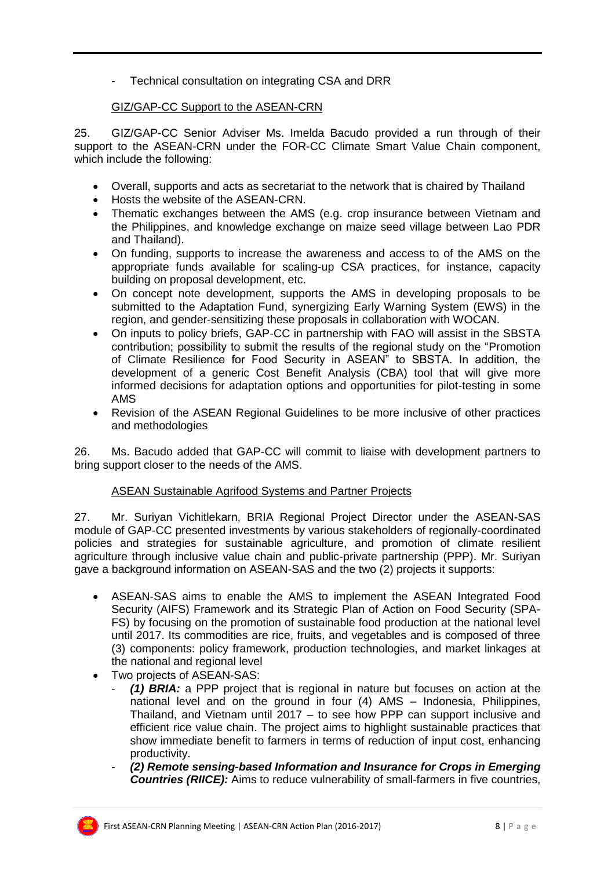- Technical consultation on integrating CSA and DRR

#### GIZ/GAP-CC Support to the ASEAN-CRN

25. GIZ/GAP-CC Senior Adviser Ms. Imelda Bacudo provided a run through of their support to the ASEAN-CRN under the FOR-CC Climate Smart Value Chain component, which include the following:

- Overall, supports and acts as secretariat to the network that is chaired by Thailand
- Hosts the website of the ASEAN-CRN.
- Thematic exchanges between the AMS (e.g. crop insurance between Vietnam and the Philippines, and knowledge exchange on maize seed village between Lao PDR and Thailand).
- On funding, supports to increase the awareness and access to of the AMS on the appropriate funds available for scaling-up CSA practices, for instance, capacity building on proposal development, etc.
- On concept note development, supports the AMS in developing proposals to be submitted to the Adaptation Fund, synergizing Early Warning System (EWS) in the region, and gender-sensitizing these proposals in collaboration with WOCAN.
- On inputs to policy briefs, GAP-CC in partnership with FAO will assist in the SBSTA contribution; possibility to submit the results of the regional study on the "Promotion of Climate Resilience for Food Security in ASEAN" to SBSTA. In addition, the development of a generic Cost Benefit Analysis (CBA) tool that will give more informed decisions for adaptation options and opportunities for pilot-testing in some AMS
- Revision of the ASEAN Regional Guidelines to be more inclusive of other practices and methodologies

26. Ms. Bacudo added that GAP-CC will commit to liaise with development partners to bring support closer to the needs of the AMS.

#### ASEAN Sustainable Agrifood Systems and Partner Projects

27. Mr. Suriyan Vichitlekarn, BRIA Regional Project Director under the ASEAN-SAS module of GAP-CC presented investments by various stakeholders of regionally-coordinated policies and strategies for sustainable agriculture, and promotion of climate resilient agriculture through inclusive value chain and public-private partnership (PPP). Mr. Suriyan gave a background information on ASEAN-SAS and the two (2) projects it supports:

- ASEAN-SAS aims to enable the AMS to implement the ASEAN Integrated Food Security (AIFS) Framework and its Strategic Plan of Action on Food Security (SPA-FS) by focusing on the promotion of sustainable food production at the national level until 2017. Its commodities are rice, fruits, and vegetables and is composed of three (3) components: policy framework, production technologies, and market linkages at the national and regional level
- Two projects of ASEAN-SAS:
	- *(1) BRIA:* a PPP project that is regional in nature but focuses on action at the national level and on the ground in four (4) AMS – Indonesia, Philippines, Thailand, and Vietnam until 2017 – to see how PPP can support inclusive and efficient rice value chain. The project aims to highlight sustainable practices that show immediate benefit to farmers in terms of reduction of input cost, enhancing productivity.
	- *(2) Remote sensing-based Information and Insurance for Crops in Emerging Countries (RIICE):* Aims to reduce vulnerability of small-farmers in five countries,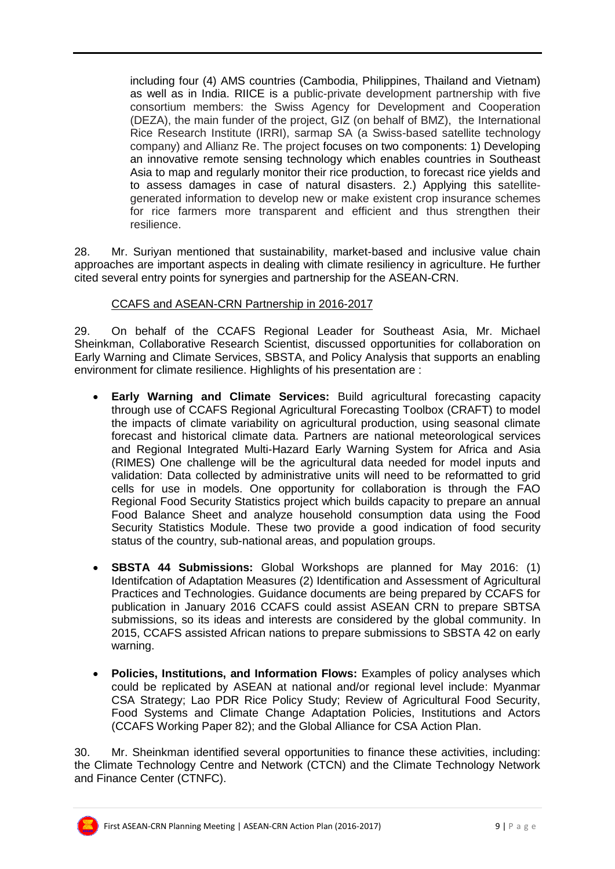including four (4) AMS countries (Cambodia, Philippines, Thailand and Vietnam) as well as in India. RIICE is a public-private development partnership with five consortium members: the Swiss Agency for Development and Cooperation (DEZA), the main funder of the project, GIZ (on behalf of BMZ), the International Rice Research Institute (IRRI), sarmap SA (a Swiss-based satellite technology company) and Allianz Re. The project focuses on two components: 1) Developing an innovative remote sensing technology which enables countries in Southeast Asia to map and regularly monitor their rice production, to forecast rice yields and to assess damages in case of natural disasters. 2.) Applying this satellitegenerated information to develop new or make existent crop insurance schemes for rice farmers more transparent and efficient and thus strengthen their resilience.

28. Mr. Suriyan mentioned that sustainability, market-based and inclusive value chain approaches are important aspects in dealing with climate resiliency in agriculture. He further cited several entry points for synergies and partnership for the ASEAN-CRN.

#### CCAFS and ASEAN-CRN Partnership in 2016-2017

29. On behalf of the CCAFS Regional Leader for Southeast Asia, Mr. Michael Sheinkman, Collaborative Research Scientist, discussed opportunities for collaboration on Early Warning and Climate Services, SBSTA, and Policy Analysis that supports an enabling environment for climate resilience. Highlights of his presentation are :

- **Early Warning and Climate Services:** Build agricultural forecasting capacity through use of CCAFS Regional Agricultural Forecasting Toolbox (CRAFT) to model the impacts of climate variability on agricultural production, using seasonal climate forecast and historical climate data. Partners are national meteorological services and Regional Integrated Multi-Hazard Early Warning System for Africa and Asia (RIMES) One challenge will be the agricultural data needed for model inputs and validation: Data collected by administrative units will need to be reformatted to grid cells for use in models. One opportunity for collaboration is through the FAO Regional Food Security Statistics project which builds capacity to prepare an annual Food Balance Sheet and analyze household consumption data using the Food Security Statistics Module. These two provide a good indication of food security status of the country, sub-national areas, and population groups.
- **SBSTA 44 Submissions:** Global Workshops are planned for May 2016: (1) Identifcation of Adaptation Measures (2) Identification and Assessment of Agricultural Practices and Technologies. Guidance documents are being prepared by CCAFS for publication in January 2016 CCAFS could assist ASEAN CRN to prepare SBTSA submissions, so its ideas and interests are considered by the global community. In 2015, CCAFS assisted African nations to prepare submissions to SBSTA 42 on early warning.
- **Policies, Institutions, and Information Flows:** Examples of policy analyses which could be replicated by ASEAN at national and/or regional level include: Myanmar CSA Strategy; Lao PDR Rice Policy Study; Review of Agricultural Food Security, Food Systems and Climate Change Adaptation Policies, Institutions and Actors (CCAFS Working Paper 82); and the Global Alliance for CSA Action Plan.

30. Mr. Sheinkman identified several opportunities to finance these activities, including: the Climate Technology Centre and Network (CTCN) and the Climate Technology Network and Finance Center (CTNFC).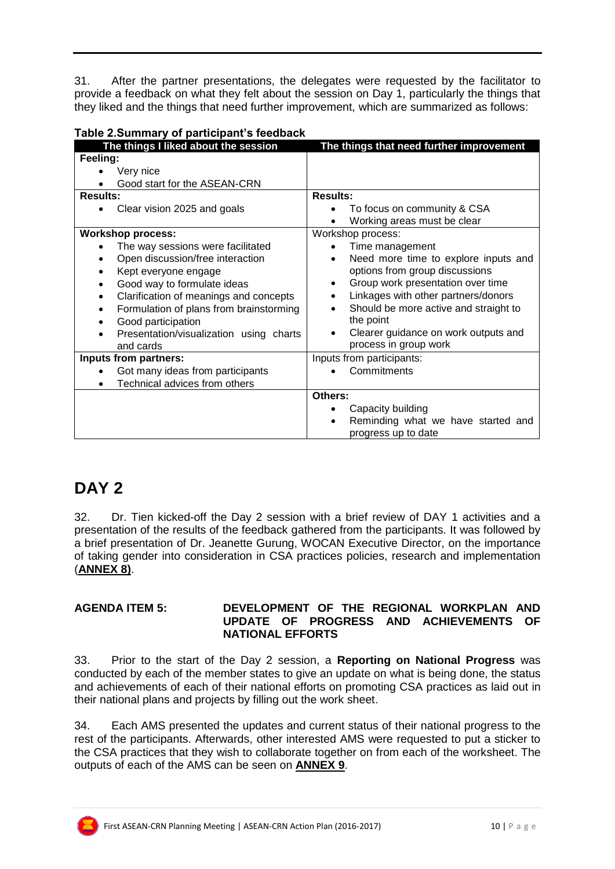31. After the partner presentations, the delegates were requested by the facilitator to provide a feedback on what they felt about the session on Day 1, particularly the things that they liked and the things that need further improvement, which are summarized as follows:

| rable 2.5 difficially be participally streamack     |                                                   |
|-----------------------------------------------------|---------------------------------------------------|
| The things I liked about the session                | The things that need further improvement          |
| Feeling:                                            |                                                   |
| Very nice                                           |                                                   |
| Good start for the ASEAN-CRN                        |                                                   |
| <b>Results:</b>                                     | <b>Results:</b>                                   |
| Clear vision 2025 and goals                         | To focus on community & CSA                       |
|                                                     | Working areas must be clear                       |
| <b>Workshop process:</b>                            | Workshop process:                                 |
| The way sessions were facilitated                   | Time management                                   |
| Open discussion/free interaction<br>$\bullet$       | Need more time to explore inputs and<br>$\bullet$ |
| Kept everyone engage<br>٠                           | options from group discussions                    |
| Good way to formulate ideas<br>$\bullet$            | Group work presentation over time<br>$\bullet$    |
| Clarification of meanings and concepts<br>$\bullet$ | Linkages with other partners/donors               |
| Formulation of plans from brainstorming<br>٠        | Should be more active and straight to             |
| Good participation<br>٠                             | the point                                         |
| Presentation/visualization using charts             | Clearer guidance on work outputs and<br>$\bullet$ |
| and cards                                           | process in group work                             |
| Inputs from partners:                               | Inputs from participants:                         |
| Got many ideas from participants                    | Commitments                                       |
| Technical advices from others                       |                                                   |
|                                                     | Others:                                           |
|                                                     | Capacity building                                 |
|                                                     | Reminding what we have started and                |
|                                                     | progress up to date                               |

#### **Table 2.Summary of participant's feedback**

# **DAY 2**

32. Dr. Tien kicked-off the Day 2 session with a brief review of DAY 1 activities and a presentation of the results of the feedback gathered from the participants. It was followed by a brief presentation of Dr. Jeanette Gurung, WOCAN Executive Director, on the importance of taking gender into consideration in CSA practices policies, research and implementation (**ANNEX 8)**.

#### **AGENDA ITEM 5: DEVELOPMENT OF THE REGIONAL WORKPLAN AND UPDATE OF PROGRESS AND ACHIEVEMENTS OF NATIONAL EFFORTS**

33. Prior to the start of the Day 2 session, a **Reporting on National Progress** was conducted by each of the member states to give an update on what is being done, the status and achievements of each of their national efforts on promoting CSA practices as laid out in their national plans and projects by filling out the work sheet.

34. Each AMS presented the updates and current status of their national progress to the rest of the participants. Afterwards, other interested AMS were requested to put a sticker to the CSA practices that they wish to collaborate together on from each of the worksheet. The outputs of each of the AMS can be seen on **ANNEX 9**.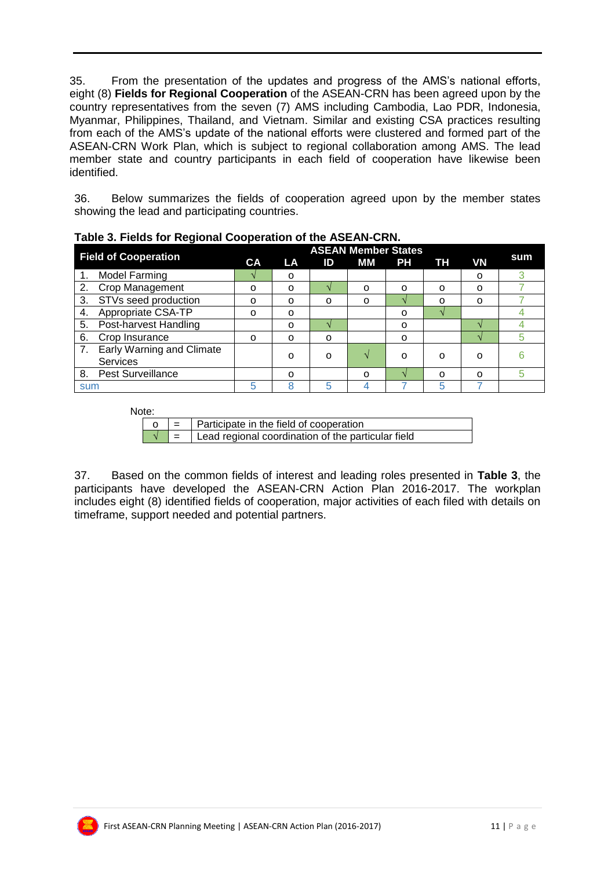35. From the presentation of the updates and progress of the AMS's national efforts, eight (8) **Fields for Regional Cooperation** of the ASEAN-CRN has been agreed upon by the country representatives from the seven (7) AMS including Cambodia, Lao PDR, Indonesia, Myanmar, Philippines, Thailand, and Vietnam. Similar and existing CSA practices resulting from each of the AMS's update of the national efforts were clustered and formed part of the ASEAN-CRN Work Plan, which is subject to regional collaboration among AMS. The lead member state and country participants in each field of cooperation have likewise been identified.

36. Below summarizes the fields of cooperation agreed upon by the member states showing the lead and participating countries.

|                                                           |           |           |    | <b>ASEAN Member States</b> |           |           |           |     |
|-----------------------------------------------------------|-----------|-----------|----|----------------------------|-----------|-----------|-----------|-----|
| <b>Field of Cooperation</b>                               | <b>CA</b> | <b>LA</b> | ID | МM                         | <b>PH</b> | <b>TH</b> | <b>VN</b> | sum |
| <b>Model Farming</b>                                      |           | $\Omega$  |    |                            |           |           | O         |     |
| Crop Management                                           | O         | O         |    | $\Omega$                   | O         | O         | O         |     |
| STVs seed production<br>3.                                | O         | O         | O  | O                          |           | O         | $\Omega$  |     |
| Appropriate CSA-TP<br>4.                                  | O         | $\Omega$  |    |                            | O         |           |           |     |
| Post-harvest Handling<br>5.                               |           | $\Omega$  |    |                            | $\Omega$  |           |           |     |
| Crop Insurance<br>6.                                      | O         | O         | O  |                            | O         |           |           |     |
| <b>Early Warning and Climate</b><br>7.<br><b>Services</b> |           | $\Omega$  | O  |                            | O         | O         | O         |     |
| <b>Pest Surveillance</b><br>8.                            |           | $\Omega$  |    | $\Omega$                   |           | $\Omega$  | $\Omega$  |     |
| sum                                                       | 5         |           | 5  |                            |           | 5         |           |     |

**Table 3. Fields for Regional Cooperation of the ASEAN-CRN.**

Note:

| . |                                                                                                             |
|---|-------------------------------------------------------------------------------------------------------------|
|   | $\begin{vmatrix} 0 & \end{vmatrix} = \begin{vmatrix} \end{vmatrix}$ Participate in the field of cooperation |
|   | $\sqrt{\phantom{a}}$ =   Lead regional coordination of the particular field                                 |

37. Based on the common fields of interest and leading roles presented in **Table 3**, the participants have developed the ASEAN-CRN Action Plan 2016-2017. The workplan includes eight (8) identified fields of cooperation, major activities of each filed with details on timeframe, support needed and potential partners.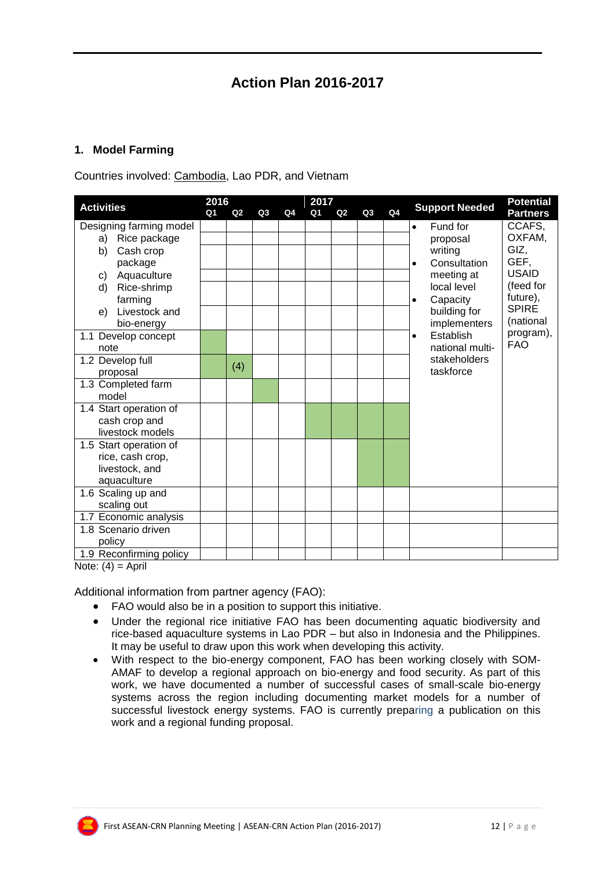### **Action Plan 2016-2017**

#### **1. Model Farming**

Countries involved: Cambodia, Lao PDR, and Vietnam

|                         | 2016           |     |    |                | 2017           |    |    |                |                                   | <b>Potential</b> |
|-------------------------|----------------|-----|----|----------------|----------------|----|----|----------------|-----------------------------------|------------------|
| <b>Activities</b>       | Q <sub>1</sub> | Q2  | Q3 | Q <sub>4</sub> | Q <sub>1</sub> | Q2 | Q3 | Q <sub>4</sub> | <b>Support Needed</b>             | <b>Partners</b>  |
| Designing farming model |                |     |    |                |                |    |    |                | Fund for<br>$\bullet$             | CCAFS.           |
| Rice package<br>a)      |                |     |    |                |                |    |    |                | proposal                          | OXFAM,           |
| Cash crop<br>b)         |                |     |    |                |                |    |    |                | GIZ,<br>writing                   |                  |
| package                 |                |     |    |                |                |    |    |                | GEF,<br>Consultation<br>$\bullet$ |                  |
| Aquaculture<br>C)       |                |     |    |                |                |    |    |                | <b>USAID</b><br>meeting at        |                  |
| Rice-shrimp<br>d)       |                |     |    |                |                |    |    |                | local level                       | (feed for        |
| farming                 |                |     |    |                |                |    |    |                | future),<br>Capacity<br>$\bullet$ |                  |
| Livestock and<br>e)     |                |     |    |                |                |    |    |                | <b>SPIRE</b><br>building for      |                  |
| bio-energy              |                |     |    |                |                |    |    |                | implementers                      | (national        |
| 1.1 Develop concept     |                |     |    |                |                |    |    |                | Establish<br>$\bullet$            | program),        |
| note                    |                |     |    |                |                |    |    |                | <b>FAO</b><br>national multi-     |                  |
| 1.2 Develop full        |                | (4) |    |                |                |    |    |                | stakeholders                      |                  |
| proposal                |                |     |    |                |                |    |    |                | taskforce                         |                  |
| 1.3 Completed farm      |                |     |    |                |                |    |    |                |                                   |                  |
| model                   |                |     |    |                |                |    |    |                |                                   |                  |
| 1.4 Start operation of  |                |     |    |                |                |    |    |                |                                   |                  |
| cash crop and           |                |     |    |                |                |    |    |                |                                   |                  |
| livestock models        |                |     |    |                |                |    |    |                |                                   |                  |
| 1.5 Start operation of  |                |     |    |                |                |    |    |                |                                   |                  |
| rice, cash crop,        |                |     |    |                |                |    |    |                |                                   |                  |
| livestock, and          |                |     |    |                |                |    |    |                |                                   |                  |
| aquaculture             |                |     |    |                |                |    |    |                |                                   |                  |
| 1.6 Scaling up and      |                |     |    |                |                |    |    |                |                                   |                  |
| scaling out             |                |     |    |                |                |    |    |                |                                   |                  |
| 1.7 Economic analysis   |                |     |    |                |                |    |    |                |                                   |                  |
| 1.8 Scenario driven     |                |     |    |                |                |    |    |                |                                   |                  |
| policy                  |                |     |    |                |                |    |    |                |                                   |                  |
| 1.9 Reconfirming policy |                |     |    |                |                |    |    |                |                                   |                  |

Note:  $(4)$  = April

Additional information from partner agency (FAO):

- FAO would also be in a position to support this initiative.
- Under the regional rice initiative FAO has been documenting aquatic biodiversity and rice-based aquaculture systems in Lao PDR – but also in Indonesia and the Philippines. It may be useful to draw upon this work when developing this activity.
- With respect to the bio-energy component, FAO has been working closely with SOM-AMAF to develop a regional approach on bio-energy and food security. As part of this work, we have documented a number of successful cases of small-scale bio-energy systems across the region including documenting market models for a number of successful livestock energy systems. FAO is currently preparing a publication on this work and a regional funding proposal.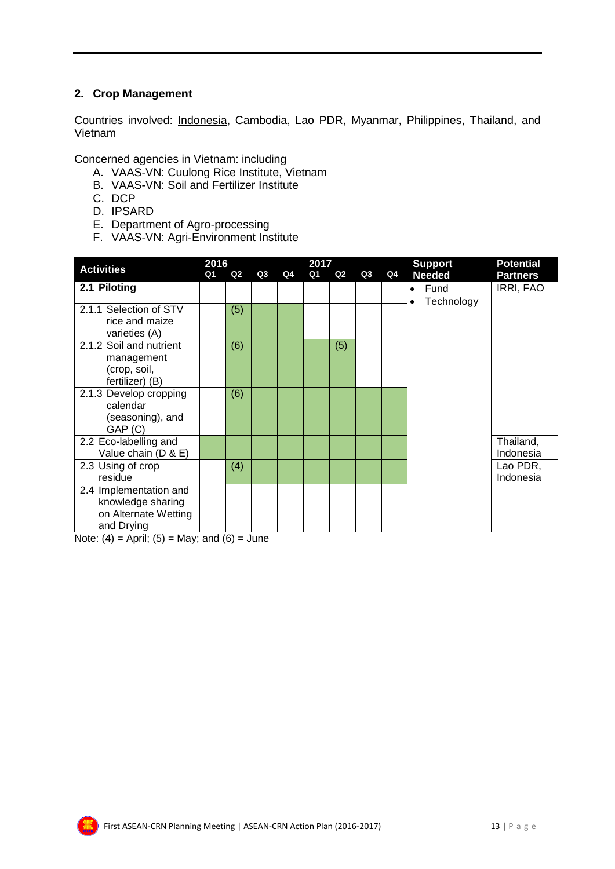#### **2. Crop Management**

Countries involved: Indonesia, Cambodia, Lao PDR, Myanmar, Philippines, Thailand, and Vietnam

Concerned agencies in Vietnam: including

- A. VAAS-VN: Cuulong Rice Institute, Vietnam
- B. VAAS-VN: Soil and Fertilizer Institute
- C. DCP
- D. IPSARD
- E. Department of Agro-processing
- F. VAAS-VN: Agri-Environment Institute

|                                                                                   | 2016 |     |    | 2017 |    |     |    | <b>Support</b> | <b>Potential</b>  |                        |
|-----------------------------------------------------------------------------------|------|-----|----|------|----|-----|----|----------------|-------------------|------------------------|
| <b>Activities</b>                                                                 | Q1   | Q2  | Q3 | Q4   | Q1 | Q2  | Q3 | Q4             | <b>Needed</b>     | <b>Partners</b>        |
| 2.1 Piloting                                                                      |      |     |    |      |    |     |    |                | Fund<br>$\bullet$ | IRRI, FAO              |
| 2.1.1 Selection of STV<br>rice and maize<br>varieties (A)                         |      | (5) |    |      |    |     |    |                | Technology        |                        |
| 2.1.2 Soil and nutrient<br>management<br>(crop, soil,<br>fertilizer) (B)          |      | (6) |    |      |    | (5) |    |                |                   |                        |
| 2.1.3 Develop cropping<br>calendar<br>(seasoning), and<br>GAP (C)                 |      | (6) |    |      |    |     |    |                |                   |                        |
| 2.2 Eco-labelling and<br>Value chain (D & E)                                      |      |     |    |      |    |     |    |                |                   | Thailand,<br>Indonesia |
| 2.3 Using of crop<br>residue                                                      |      | (4) |    |      |    |     |    |                |                   | Lao PDR,<br>Indonesia  |
| 2.4 Implementation and<br>knowledge sharing<br>on Alternate Wetting<br>and Drying |      |     |    |      |    |     |    |                |                   |                        |

Note:  $(4)$  = April;  $(5)$  = May; and  $(6)$  = June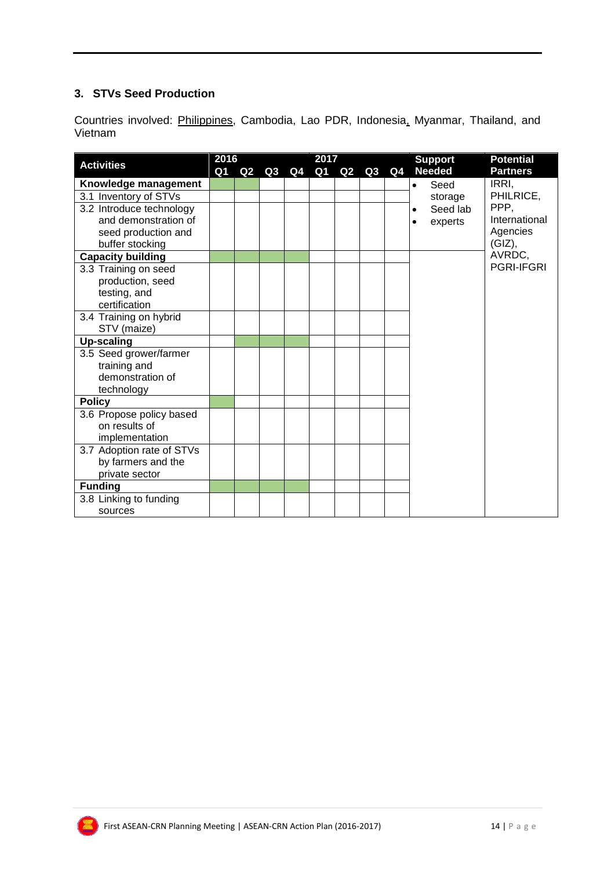#### **3. STVs Seed Production**

Countries involved: Philippines, Cambodia, Lao PDR, Indonesia, Myanmar, Thailand, and Vietnam

|                           | 2016<br>2017 |    |    |    |    |               |    |                | <b>Potential</b><br><b>Support</b> |  |
|---------------------------|--------------|----|----|----|----|---------------|----|----------------|------------------------------------|--|
| <b>Activities</b>         | Q1           | Q2 | Q3 | Q4 | Q1 | $\mathbf{Q2}$ | Q3 | Q <sub>4</sub> | <b>Needed</b><br><b>Partners</b>   |  |
| Knowledge management      |              |    |    |    |    |               |    |                | IRRI,<br>Seed<br>$\bullet$         |  |
| 3.1 Inventory of STVs     |              |    |    |    |    |               |    |                | PHILRICE,<br>storage               |  |
| 3.2 Introduce technology  |              |    |    |    |    |               |    |                | PPP.<br>Seed lab<br>$\bullet$      |  |
| and demonstration of      |              |    |    |    |    |               |    |                | International<br>experts<br>٠      |  |
| seed production and       |              |    |    |    |    |               |    |                | Agencies                           |  |
| buffer stocking           |              |    |    |    |    |               |    |                | (GIZ),                             |  |
| <b>Capacity building</b>  |              |    |    |    |    |               |    |                | AVRDC,                             |  |
| 3.3 Training on seed      |              |    |    |    |    |               |    |                | <b>PGRI-IFGRI</b>                  |  |
| production, seed          |              |    |    |    |    |               |    |                |                                    |  |
| testing, and              |              |    |    |    |    |               |    |                |                                    |  |
| certification             |              |    |    |    |    |               |    |                |                                    |  |
| 3.4 Training on hybrid    |              |    |    |    |    |               |    |                |                                    |  |
| STV (maize)               |              |    |    |    |    |               |    |                |                                    |  |
| <b>Up-scaling</b>         |              |    |    |    |    |               |    |                |                                    |  |
| 3.5 Seed grower/farmer    |              |    |    |    |    |               |    |                |                                    |  |
| training and              |              |    |    |    |    |               |    |                |                                    |  |
| demonstration of          |              |    |    |    |    |               |    |                |                                    |  |
| technology                |              |    |    |    |    |               |    |                |                                    |  |
| <b>Policy</b>             |              |    |    |    |    |               |    |                |                                    |  |
| 3.6 Propose policy based  |              |    |    |    |    |               |    |                |                                    |  |
| on results of             |              |    |    |    |    |               |    |                |                                    |  |
| implementation            |              |    |    |    |    |               |    |                |                                    |  |
| 3.7 Adoption rate of STVs |              |    |    |    |    |               |    |                |                                    |  |
| by farmers and the        |              |    |    |    |    |               |    |                |                                    |  |
| private sector            |              |    |    |    |    |               |    |                |                                    |  |
| <b>Funding</b>            |              |    |    |    |    |               |    |                |                                    |  |
| 3.8 Linking to funding    |              |    |    |    |    |               |    |                |                                    |  |
| sources                   |              |    |    |    |    |               |    |                |                                    |  |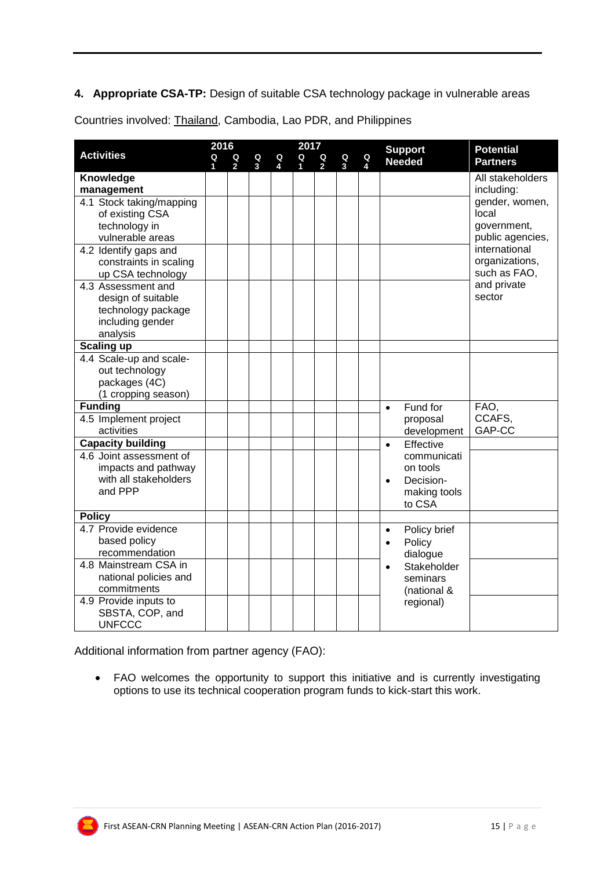#### **4. Appropriate CSA-TP:** Design of suitable CSA technology package in vulnerable areas

Countries involved: Thailand, Cambodia, Lao PDR, and Philippines

|                                                                                                           |                     | 2016                |        |        | 2017             |                     |                     |   | <b>Support</b>                                                              | <b>Potential</b>                                                            |  |
|-----------------------------------------------------------------------------------------------------------|---------------------|---------------------|--------|--------|------------------|---------------------|---------------------|---|-----------------------------------------------------------------------------|-----------------------------------------------------------------------------|--|
| <b>Activities</b>                                                                                         | Q<br>$\blacksquare$ | Q<br>$\overline{2}$ | Q<br>3 | Q<br>4 | Q<br>$\mathbf 1$ | Q<br>$\overline{2}$ | Q<br>$\overline{3}$ | Q | <b>Needed</b>                                                               | <b>Partners</b>                                                             |  |
| Knowledge                                                                                                 |                     |                     |        |        |                  |                     |                     |   |                                                                             | All stakeholders                                                            |  |
| management                                                                                                |                     |                     |        |        |                  |                     |                     |   |                                                                             | including:                                                                  |  |
| 4.1 Stock taking/mapping<br>of existing CSA<br>technology in<br>vulnerable areas<br>4.2 Identify gaps and |                     |                     |        |        |                  |                     |                     |   |                                                                             | gender, women,<br>local<br>government,<br>public agencies,<br>international |  |
| constraints in scaling<br>up CSA technology                                                               |                     |                     |        |        |                  |                     |                     |   |                                                                             | organizations,<br>such as FAO,                                              |  |
| 4.3 Assessment and<br>design of suitable<br>technology package<br>including gender<br>analysis            |                     |                     |        |        |                  |                     |                     |   |                                                                             | and private<br>sector                                                       |  |
| <b>Scaling up</b>                                                                                         |                     |                     |        |        |                  |                     |                     |   |                                                                             |                                                                             |  |
| 4.4 Scale-up and scale-<br>out technology<br>packages (4C)<br>(1 cropping season)                         |                     |                     |        |        |                  |                     |                     |   |                                                                             |                                                                             |  |
| <b>Funding</b>                                                                                            |                     |                     |        |        |                  |                     |                     |   | Fund for<br>$\bullet$                                                       | FAO,                                                                        |  |
| 4.5 Implement project<br>activities                                                                       |                     |                     |        |        |                  |                     |                     |   | proposal<br>development                                                     | CCAFS,<br>GAP-CC                                                            |  |
| <b>Capacity building</b>                                                                                  |                     |                     |        |        |                  |                     |                     |   | Effective<br>$\bullet$                                                      |                                                                             |  |
| 4.6 Joint assessment of<br>impacts and pathway<br>with all stakeholders<br>and PPP                        |                     |                     |        |        |                  |                     |                     |   | communicati<br>on tools<br>Decision-<br>$\bullet$<br>making tools<br>to CSA |                                                                             |  |
| <b>Policy</b>                                                                                             |                     |                     |        |        |                  |                     |                     |   |                                                                             |                                                                             |  |
| 4.7 Provide evidence<br>based policy<br>recommendation                                                    |                     |                     |        |        |                  |                     |                     |   | Policy brief<br>$\bullet$<br>Policy<br>$\bullet$<br>dialogue                |                                                                             |  |
| 4.8 Mainstream CSA in<br>national policies and<br>commitments                                             |                     |                     |        |        |                  |                     |                     |   | Stakeholder<br>$\bullet$<br>seminars<br>(national &                         |                                                                             |  |
| 4.9 Provide inputs to<br>SBSTA, COP, and<br><b>UNFCCC</b>                                                 |                     |                     |        |        |                  |                     |                     |   | regional)                                                                   |                                                                             |  |

Additional information from partner agency (FAO):

 FAO welcomes the opportunity to support this initiative and is currently investigating options to use its technical cooperation program funds to kick-start this work.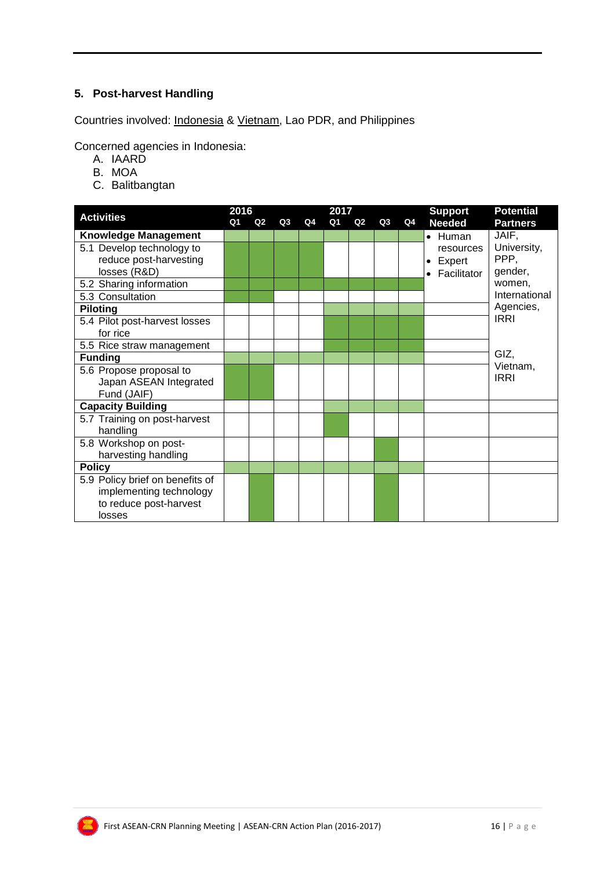#### **5. Post-harvest Handling**

Countries involved: Indonesia & Vietnam, Lao PDR, and Philippines

Concerned agencies in Indonesia:

- A. IAARD
- B. MOA
- C. Balitbangtan

| <b>Activities</b>               | 2016 |                |    |    | 2017 |    |    |    | <b>Support</b>  | <b>Potential</b> |
|---------------------------------|------|----------------|----|----|------|----|----|----|-----------------|------------------|
|                                 | Q1   | Q <sub>2</sub> | Q3 | Q4 | Q1   | Q2 | Q3 | Q4 | <b>Needed</b>   | <b>Partners</b>  |
| <b>Knowledge Management</b>     |      |                |    |    |      |    |    |    | $\bullet$ Human | JAIF,            |
| 5.1 Develop technology to       |      |                |    |    |      |    |    |    | resources       | University,      |
| reduce post-harvesting          |      |                |    |    |      |    |    |    | Expert          | PPP,             |
| losses (R&D)                    |      |                |    |    |      |    |    |    | Facilitator     | gender,          |
| 5.2 Sharing information         |      |                |    |    |      |    |    |    |                 | women,           |
| 5.3 Consultation                |      |                |    |    |      |    |    |    |                 | International    |
| <b>Piloting</b>                 |      |                |    |    |      |    |    |    |                 | Agencies,        |
| 5.4 Pilot post-harvest losses   |      |                |    |    |      |    |    |    |                 | <b>IRRI</b>      |
| for rice                        |      |                |    |    |      |    |    |    |                 |                  |
| 5.5 Rice straw management       |      |                |    |    |      |    |    |    |                 |                  |
| <b>Funding</b>                  |      |                |    |    |      |    |    |    |                 | GIZ,             |
| 5.6 Propose proposal to         |      |                |    |    |      |    |    |    |                 | Vietnam,         |
| Japan ASEAN Integrated          |      |                |    |    |      |    |    |    |                 | <b>IRRI</b>      |
| Fund (JAIF)                     |      |                |    |    |      |    |    |    |                 |                  |
| <b>Capacity Building</b>        |      |                |    |    |      |    |    |    |                 |                  |
| 5.7 Training on post-harvest    |      |                |    |    |      |    |    |    |                 |                  |
| handling                        |      |                |    |    |      |    |    |    |                 |                  |
| 5.8 Workshop on post-           |      |                |    |    |      |    |    |    |                 |                  |
| harvesting handling             |      |                |    |    |      |    |    |    |                 |                  |
| <b>Policy</b>                   |      |                |    |    |      |    |    |    |                 |                  |
| 5.9 Policy brief on benefits of |      |                |    |    |      |    |    |    |                 |                  |
| implementing technology         |      |                |    |    |      |    |    |    |                 |                  |
| to reduce post-harvest          |      |                |    |    |      |    |    |    |                 |                  |
| losses                          |      |                |    |    |      |    |    |    |                 |                  |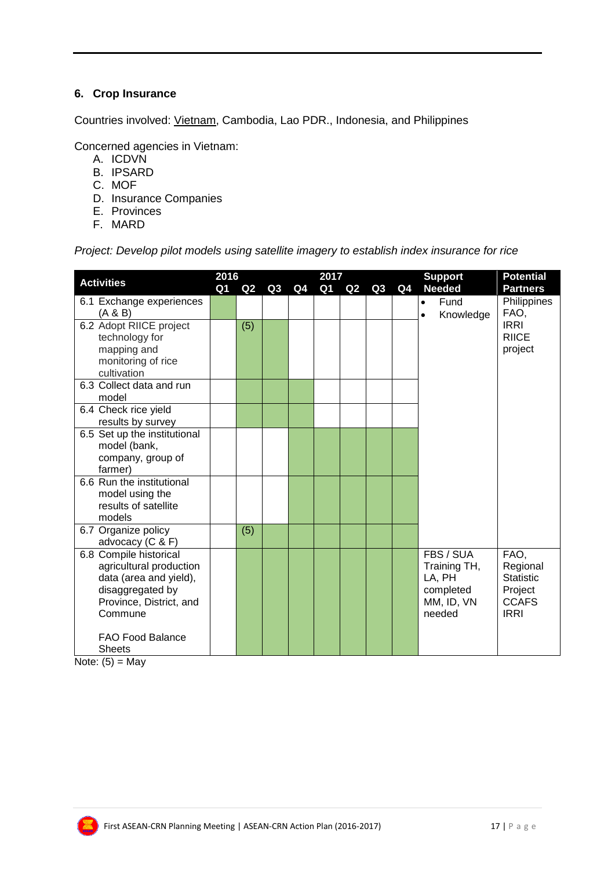#### **6. Crop Insurance**

Countries involved: Vietnam, Cambodia, Lao PDR., Indonesia, and Philippines

Concerned agencies in Vietnam:

- A. ICDVN
- B. IPSARD
- C. MOF
- D. Insurance Companies
- E. Provinces
- F. MARD

*Project: Develop pilot models using satellite imagery to establish index insurance for rice*

| <b>Activities</b>                                                                                                                                                                 | 2016<br>Q1 | Q2  | Q3 | Q4 | 2017<br>Q1 | Q2 | Q3 | Q <sub>4</sub> | <b>Support</b><br><b>Needed</b>                                          | <b>Potential</b><br><b>Partners</b>                                            |
|-----------------------------------------------------------------------------------------------------------------------------------------------------------------------------------|------------|-----|----|----|------------|----|----|----------------|--------------------------------------------------------------------------|--------------------------------------------------------------------------------|
| 6.1 Exchange experiences<br>(A & B)                                                                                                                                               |            |     |    |    |            |    |    |                | Fund<br>$\bullet$<br>Knowledge<br>$\bullet$                              | Philippines<br>FAO,                                                            |
| 6.2 Adopt RIICE project<br>technology for<br>mapping and<br>monitoring of rice<br>cultivation                                                                                     |            | (5) |    |    |            |    |    |                |                                                                          | <b>IRRI</b><br><b>RIICE</b><br>project                                         |
| 6.3 Collect data and run<br>model                                                                                                                                                 |            |     |    |    |            |    |    |                |                                                                          |                                                                                |
| 6.4 Check rice yield<br>results by survey                                                                                                                                         |            |     |    |    |            |    |    |                |                                                                          |                                                                                |
| 6.5 Set up the institutional<br>model (bank,<br>company, group of<br>farmer)                                                                                                      |            |     |    |    |            |    |    |                |                                                                          |                                                                                |
| 6.6 Run the institutional<br>model using the<br>results of satellite<br>models                                                                                                    |            |     |    |    |            |    |    |                |                                                                          |                                                                                |
| 6.7 Organize policy<br>advocacy (C & F)                                                                                                                                           |            | (5) |    |    |            |    |    |                |                                                                          |                                                                                |
| 6.8 Compile historical<br>agricultural production<br>data (area and yield),<br>disaggregated by<br>Province, District, and<br>Commune<br><b>FAO Food Balance</b><br><b>Sheets</b> |            |     |    |    |            |    |    |                | FBS / SUA<br>Training TH,<br>LA, PH<br>completed<br>MM, ID, VN<br>needed | FAO,<br>Regional<br><b>Statistic</b><br>Project<br><b>CCAFS</b><br><b>IRRI</b> |

Note:  $(5)$  = May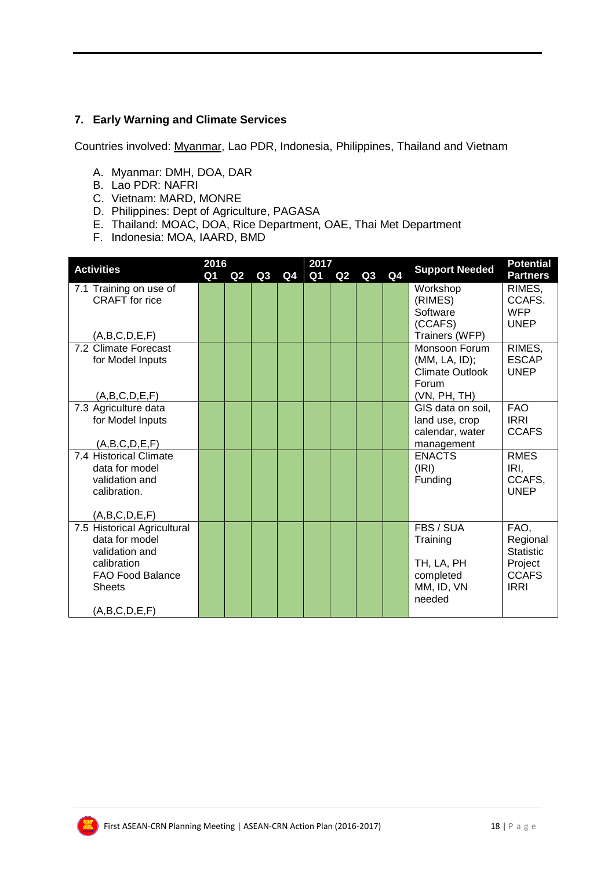#### **7. Early Warning and Climate Services**

Countries involved: Myanmar, Lao PDR, Indonesia, Philippines, Thailand and Vietnam

- A. Myanmar: DMH, DOA, DAR
- B. Lao PDR: NAFRI
- C. Vietnam: MARD, MONRE
- D. Philippines: Dept of Agriculture, PAGASA
- E. Thailand: MOAC, DOA, Rice Department, OAE, Thai Met Department
- F. Indonesia: MOA, IAARD, BMD

| 2016<br>2017<br><b>Activities</b>     |    |                |                |    |    |    | <b>Support Needed</b> | <b>Potential</b> |                                 |                       |
|---------------------------------------|----|----------------|----------------|----|----|----|-----------------------|------------------|---------------------------------|-----------------------|
|                                       | Q1 | Q <sub>2</sub> | Q <sub>3</sub> | Q4 | Q1 | Q2 | Q3                    | Q4               |                                 | <b>Partners</b>       |
| 7.1 Training on use of                |    |                |                |    |    |    |                       |                  | Workshop                        | RIMES,                |
| <b>CRAFT</b> for rice                 |    |                |                |    |    |    |                       |                  | (RIMES)                         | CCAFS.                |
|                                       |    |                |                |    |    |    |                       |                  | Software                        | <b>WFP</b>            |
|                                       |    |                |                |    |    |    |                       |                  | (CCAFS)                         | <b>UNEP</b>           |
| (A,B,C,D,E,F)<br>7.2 Climate Forecast |    |                |                |    |    |    |                       |                  | Trainers (WFP)<br>Monsoon Forum | RIMES,                |
| for Model Inputs                      |    |                |                |    |    |    |                       |                  | (MM, LA, ID);                   | <b>ESCAP</b>          |
|                                       |    |                |                |    |    |    |                       |                  | Climate Outlook                 | <b>UNEP</b>           |
|                                       |    |                |                |    |    |    |                       |                  | Forum                           |                       |
| (A,B,C,D,E,F)                         |    |                |                |    |    |    |                       |                  | (VN, PH, TH)                    |                       |
| 7.3 Agriculture data                  |    |                |                |    |    |    |                       |                  | GIS data on soil,               | <b>FAO</b>            |
| for Model Inputs                      |    |                |                |    |    |    |                       |                  | land use, crop                  | <b>IRRI</b>           |
|                                       |    |                |                |    |    |    |                       |                  | calendar, water                 | <b>CCAFS</b>          |
| (A,B,C,D,E,F)                         |    |                |                |    |    |    |                       |                  | management                      |                       |
| 7.4 Historical Climate                |    |                |                |    |    |    |                       |                  | <b>ENACTS</b>                   | <b>RMES</b>           |
| data for model                        |    |                |                |    |    |    |                       |                  | (IRI)                           | IRI,                  |
| validation and<br>calibration.        |    |                |                |    |    |    |                       |                  | Funding                         | CCAFS.<br><b>UNEP</b> |
|                                       |    |                |                |    |    |    |                       |                  |                                 |                       |
| (A,B,C,D,E,F)                         |    |                |                |    |    |    |                       |                  |                                 |                       |
| 7.5 Historical Agricultural           |    |                |                |    |    |    |                       |                  | FBS / SUA                       | FAO,                  |
| data for model                        |    |                |                |    |    |    |                       |                  | Training                        | Regional              |
| validation and                        |    |                |                |    |    |    |                       |                  |                                 | <b>Statistic</b>      |
| calibration                           |    |                |                |    |    |    |                       |                  | TH, LA, PH                      | Project               |
| <b>FAO Food Balance</b>               |    |                |                |    |    |    |                       |                  | completed                       | <b>CCAFS</b>          |
| <b>Sheets</b>                         |    |                |                |    |    |    |                       |                  | MM, ID, VN<br>needed            | <b>IRRI</b>           |
| (A,B,C,D,E,F)                         |    |                |                |    |    |    |                       |                  |                                 |                       |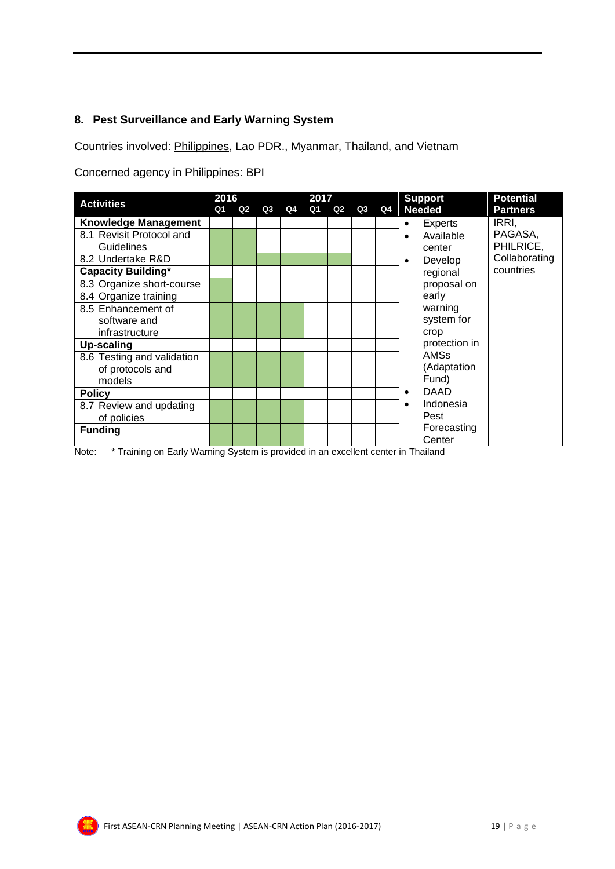#### **8. Pest Surveillance and Early Warning System**

Countries involved: Philippines, Lao PDR., Myanmar, Thailand, and Vietnam

Concerned agency in Philippines: BPI

| <b>Activities</b>           | 2016 |    |    |    | 2017 |    |    |    | <b>Potential</b><br><b>Support</b>    |
|-----------------------------|------|----|----|----|------|----|----|----|---------------------------------------|
|                             | Q1   | Q2 | Q3 | Q4 | Q1   | Q2 | Q3 | Q4 | <b>Needed</b><br><b>Partners</b>      |
| <b>Knowledge Management</b> |      |    |    |    |      |    |    |    | IRRI,<br>Experts<br>٠                 |
| 8.1 Revisit Protocol and    |      |    |    |    |      |    |    |    | PAGASA,<br>Available                  |
| Guidelines                  |      |    |    |    |      |    |    |    | PHILRICE,<br>center                   |
| 8.2 Undertake R&D           |      |    |    |    |      |    |    |    | Collaborating<br>Develop<br>$\bullet$ |
| <b>Capacity Building*</b>   |      |    |    |    |      |    |    |    | countries<br>regional                 |
| 8.3 Organize short-course   |      |    |    |    |      |    |    |    | proposal on                           |
| 8.4 Organize training       |      |    |    |    |      |    |    |    | early                                 |
| 8.5 Enhancement of          |      |    |    |    |      |    |    |    | warning                               |
| software and                |      |    |    |    |      |    |    |    | system for                            |
| infrastructure              |      |    |    |    |      |    |    |    | crop                                  |
| <b>Up-scaling</b>           |      |    |    |    |      |    |    |    | protection in                         |
| 8.6 Testing and validation  |      |    |    |    |      |    |    |    | <b>AMSs</b>                           |
| of protocols and            |      |    |    |    |      |    |    |    | (Adaptation                           |
| models                      |      |    |    |    |      |    |    |    | Fund)                                 |
| <b>Policy</b>               |      |    |    |    |      |    |    |    | <b>DAAD</b>                           |
| 8.7 Review and updating     |      |    |    |    |      |    |    |    | Indonesia<br>٠                        |
| of policies                 |      |    |    |    |      |    |    |    | Pest                                  |
| <b>Funding</b>              |      |    |    |    |      |    |    |    | Forecasting                           |
|                             |      |    |    |    |      |    |    |    | Center                                |

Note: \* Training on Early Warning System is provided in an excellent center in Thailand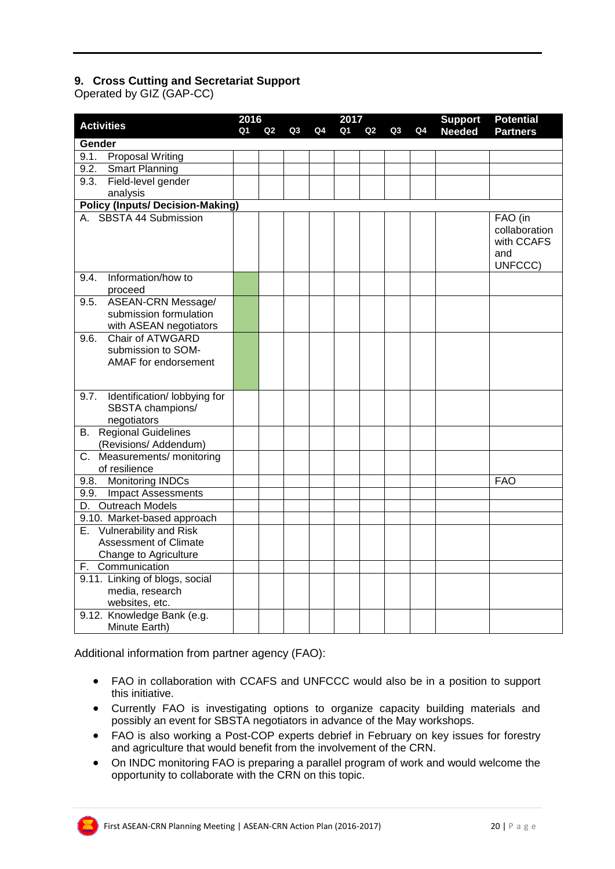#### **9. Cross Cutting and Secretariat Support**

Operated by GIZ (GAP-CC)

|                                         | 2016<br>2017 |                |    |    |    |                |    | <b>Support</b> | <b>Potential</b> |                 |
|-----------------------------------------|--------------|----------------|----|----|----|----------------|----|----------------|------------------|-----------------|
| <b>Activities</b>                       | Ο1           | Q <sub>2</sub> | Q3 | Q4 | Q1 | Q <sub>2</sub> | Q3 | Q4             | <b>Needed</b>    | <b>Partners</b> |
| Gender                                  |              |                |    |    |    |                |    |                |                  |                 |
| <b>Proposal Writing</b><br>9.1.         |              |                |    |    |    |                |    |                |                  |                 |
| Smart Planning<br>9.2.                  |              |                |    |    |    |                |    |                |                  |                 |
| Field-level gender<br>9.3.              |              |                |    |    |    |                |    |                |                  |                 |
| analysis                                |              |                |    |    |    |                |    |                |                  |                 |
| <b>Policy (Inputs/ Decision-Making)</b> |              |                |    |    |    |                |    |                |                  |                 |
| A. SBSTA 44 Submission                  |              |                |    |    |    |                |    |                |                  | FAO (in         |
|                                         |              |                |    |    |    |                |    |                |                  | collaboration   |
|                                         |              |                |    |    |    |                |    |                |                  | with CCAFS      |
|                                         |              |                |    |    |    |                |    |                |                  | and<br>UNFCCC)  |
| Information/how to<br>9.4.              |              |                |    |    |    |                |    |                |                  |                 |
| proceed                                 |              |                |    |    |    |                |    |                |                  |                 |
| ASEAN-CRN Message/<br>9.5.              |              |                |    |    |    |                |    |                |                  |                 |
| submission formulation                  |              |                |    |    |    |                |    |                |                  |                 |
| with ASEAN negotiators                  |              |                |    |    |    |                |    |                |                  |                 |
| Chair of ATWGARD<br>9.6.                |              |                |    |    |    |                |    |                |                  |                 |
| submission to SOM-                      |              |                |    |    |    |                |    |                |                  |                 |
| AMAF for endorsement                    |              |                |    |    |    |                |    |                |                  |                 |
|                                         |              |                |    |    |    |                |    |                |                  |                 |
| Identification/ lobbying for<br>9.7.    |              |                |    |    |    |                |    |                |                  |                 |
| SBSTA champions/                        |              |                |    |    |    |                |    |                |                  |                 |
| negotiators                             |              |                |    |    |    |                |    |                |                  |                 |
| <b>B.</b> Regional Guidelines           |              |                |    |    |    |                |    |                |                  |                 |
| (Revisions/ Addendum)                   |              |                |    |    |    |                |    |                |                  |                 |
| Measurements/ monitoring<br>С.          |              |                |    |    |    |                |    |                |                  |                 |
| of resilience                           |              |                |    |    |    |                |    |                |                  |                 |
| 9.8. Monitoring INDCs                   |              |                |    |    |    |                |    |                |                  | <b>FAO</b>      |
| 9.9. Impact Assessments                 |              |                |    |    |    |                |    |                |                  |                 |
| D. Outreach Models                      |              |                |    |    |    |                |    |                |                  |                 |
| 9.10. Market-based approach             |              |                |    |    |    |                |    |                |                  |                 |
| E. Vulnerability and Risk               |              |                |    |    |    |                |    |                |                  |                 |
| <b>Assessment of Climate</b>            |              |                |    |    |    |                |    |                |                  |                 |
| Change to Agriculture                   |              |                |    |    |    |                |    |                |                  |                 |
| F. Communication                        |              |                |    |    |    |                |    |                |                  |                 |
| 9.11. Linking of blogs, social          |              |                |    |    |    |                |    |                |                  |                 |
| media, research                         |              |                |    |    |    |                |    |                |                  |                 |
| websites, etc.                          |              |                |    |    |    |                |    |                |                  |                 |
| 9.12. Knowledge Bank (e.g.              |              |                |    |    |    |                |    |                |                  |                 |
| Minute Earth)                           |              |                |    |    |    |                |    |                |                  |                 |

Additional information from partner agency (FAO):

- FAO in collaboration with CCAFS and UNFCCC would also be in a position to support this initiative.
- Currently FAO is investigating options to organize capacity building materials and possibly an event for SBSTA negotiators in advance of the May workshops.
- FAO is also working a Post-COP experts debrief in February on key issues for forestry and agriculture that would benefit from the involvement of the CRN.
- On INDC monitoring FAO is preparing a parallel program of work and would welcome the opportunity to collaborate with the CRN on this topic.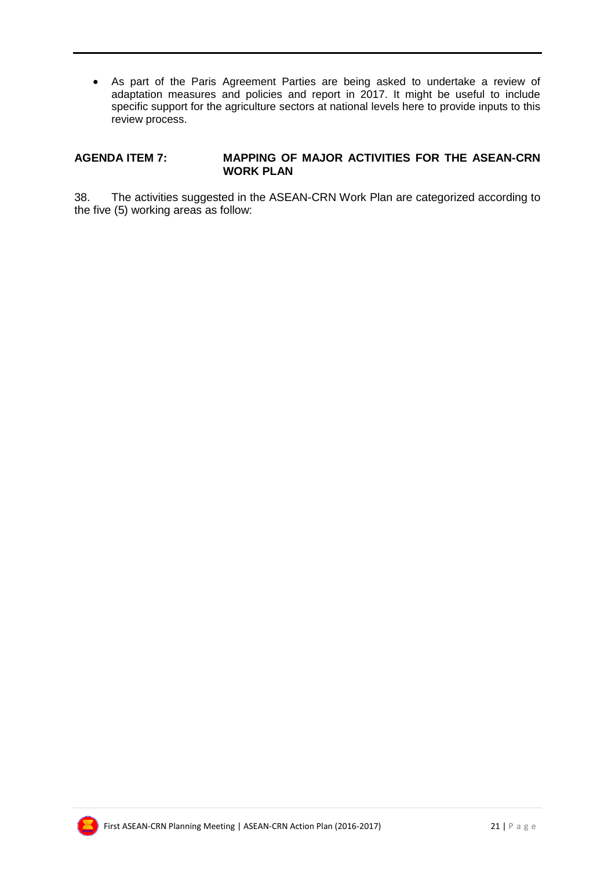As part of the Paris Agreement Parties are being asked to undertake a review of adaptation measures and policies and report in 2017. It might be useful to include specific support for the agriculture sectors at national levels here to provide inputs to this review process.

#### **AGENDA ITEM 7: MAPPING OF MAJOR ACTIVITIES FOR THE ASEAN-CRN WORK PLAN**

38. The activities suggested in the ASEAN-CRN Work Plan are categorized according to the five (5) working areas as follow:

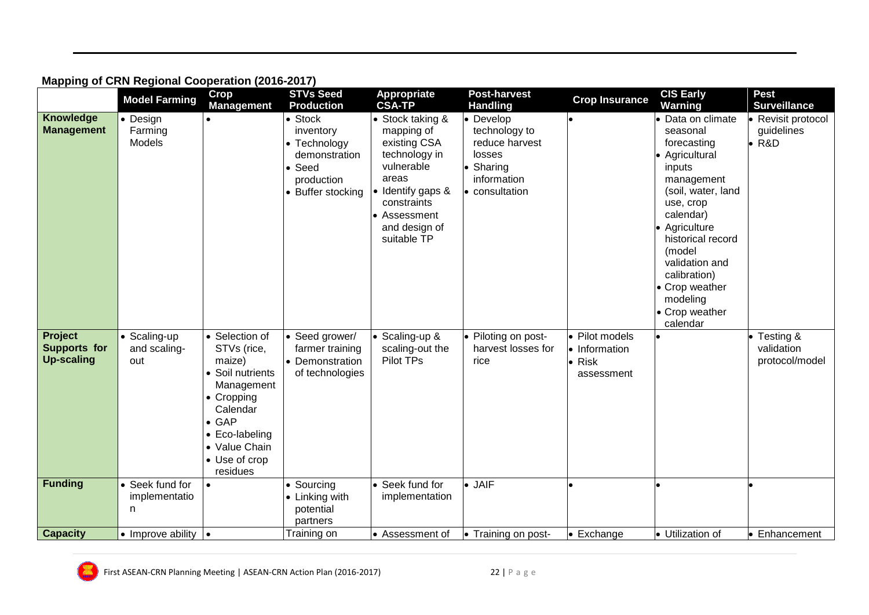|                                                     | <b>Model Farming</b>                | Crop<br><b>Management</b>                                                                                                                                                            | <b>STVs Seed</b><br><b>Production</b>                                                              | <b>Appropriate</b><br><b>CSA-TP</b>                                                                                                                                        | <b>Post-harvest</b><br><b>Handling</b>                                                                               | <b>Crop Insurance</b>                                           | <b>CIS Early</b><br>Warning                                                                                                                                                                                                                                                      | <b>Pest</b><br><b>Surveillance</b>                |
|-----------------------------------------------------|-------------------------------------|--------------------------------------------------------------------------------------------------------------------------------------------------------------------------------------|----------------------------------------------------------------------------------------------------|----------------------------------------------------------------------------------------------------------------------------------------------------------------------------|----------------------------------------------------------------------------------------------------------------------|-----------------------------------------------------------------|----------------------------------------------------------------------------------------------------------------------------------------------------------------------------------------------------------------------------------------------------------------------------------|---------------------------------------------------|
| Knowledge<br><b>Management</b>                      | • Design<br>Farming<br>Models       |                                                                                                                                                                                      | • Stock<br>inventory<br>• Technology<br>demonstration<br>• Seed<br>production<br>• Buffer stocking | • Stock taking &<br>mapping of<br>existing CSA<br>technology in<br>vulnerable<br>areas<br>• Identify gaps &<br>constraints<br>• Assessment<br>and design of<br>suitable TP | $\bullet$ Develop<br>technology to<br>reduce harvest<br>losses<br>• Sharing<br>information<br>$\bullet$ consultation |                                                                 | Data on climate<br>seasonal<br>forecasting<br>• Agricultural<br>inputs<br>management<br>(soil, water, land<br>use, crop<br>calendar)<br>Agriculture<br>historical record<br>(model<br>validation and<br>calibration)<br>• Crop weather<br>modeling<br>• Crop weather<br>calendar | • Revisit protocol<br>guidelines<br>$\bullet$ R&D |
| Project<br><b>Supports for</b><br><b>Up-scaling</b> | • Scaling-up<br>and scaling-<br>out | • Selection of<br>STVs (rice,<br>maize)<br>• Soil nutrients<br>Management<br>• Cropping<br>Calendar<br>$\bullet$ GAP<br>• Eco-labeling<br>• Value Chain<br>• Use of crop<br>residues | • Seed grower/<br>farmer training<br>• Demonstration<br>of technologies                            | · Scaling-up &<br>scaling-out the<br>Pilot TPs                                                                                                                             | • Piloting on post-<br>harvest losses for<br>rice                                                                    | · Pilot models<br>• Information<br>$\bullet$ Risk<br>assessment |                                                                                                                                                                                                                                                                                  | Testing &<br>validation<br>protocol/model         |
| <b>Funding</b>                                      | • Seek fund for<br>implementatio    | $\bullet$                                                                                                                                                                            | • Sourcing<br>• Linking with                                                                       | • Seek fund for<br>implementation                                                                                                                                          | $\bullet$ JAIF                                                                                                       |                                                                 |                                                                                                                                                                                                                                                                                  |                                                   |
|                                                     | n                                   |                                                                                                                                                                                      | potential<br>partners                                                                              |                                                                                                                                                                            |                                                                                                                      |                                                                 |                                                                                                                                                                                                                                                                                  |                                                   |
| <b>Capacity</b>                                     | • Improve ability                   | $\bullet$                                                                                                                                                                            | Training on                                                                                        | • Assessment of                                                                                                                                                            | $\bullet$ Training on post-                                                                                          | • Exchange                                                      | • Utilization of                                                                                                                                                                                                                                                                 | • Enhancement                                     |

## **Mapping of CRN Regional Cooperation (2016-2017)**

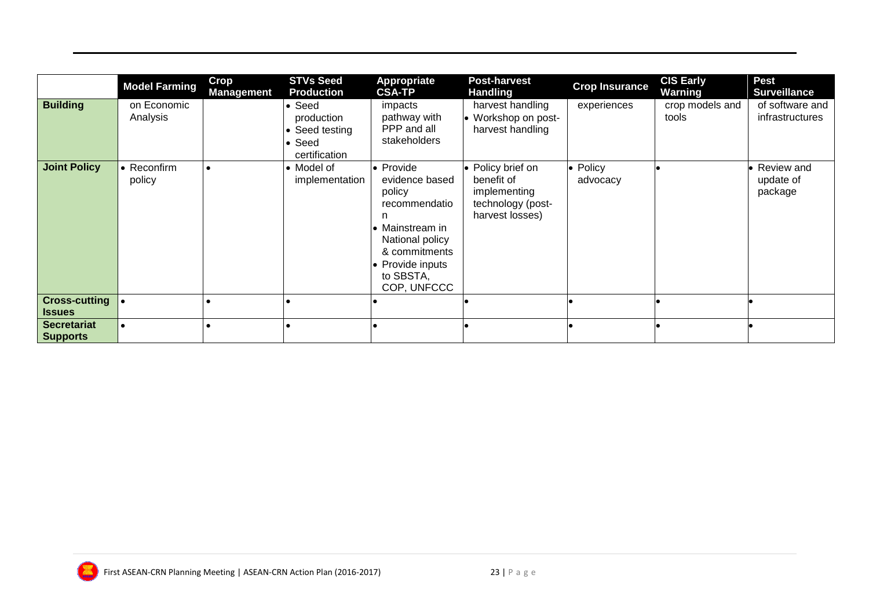|                                                      | <b>Model Farming</b>    | <b>Crop</b><br><b>Management</b> | <b>STVs Seed</b><br><b>Production</b>                                     | Appropriate<br><b>CSA-TP</b>                                                                                                                                       | <b>Post-harvest</b><br><b>Handling</b>                                                  | <b>Crop Insurance</b>        | <b>CIS Early</b><br>Warning | <b>Pest</b><br><b>Surveillance</b>   |
|------------------------------------------------------|-------------------------|----------------------------------|---------------------------------------------------------------------------|--------------------------------------------------------------------------------------------------------------------------------------------------------------------|-----------------------------------------------------------------------------------------|------------------------------|-----------------------------|--------------------------------------|
| <b>Building</b>                                      | on Economic<br>Analysis |                                  | • Seed<br>production<br>• Seed testing<br>$\bullet$ Seed<br>certification | impacts<br>pathway with<br>PPP and all<br>stakeholders                                                                                                             | harvest handling<br>• Workshop on post-<br>harvest handling                             | experiences                  | crop models and<br>tools    | of software and<br>infrastructures   |
| <b>Joint Policy</b>                                  | • Reconfirm<br>policy   |                                  | • Model of<br>implementation                                              | • Provide<br>evidence based<br>policy<br>recommendatio<br>n<br>• Mainstream in<br>National policy<br>& commitments<br>• Provide inputs<br>to SBSTA,<br>COP, UNFCCC | • Policy brief on<br>benefit of<br>implementing<br>technology (post-<br>harvest losses) | $\bullet$ Policy<br>advocacy |                             | • Review and<br>update of<br>package |
| Cross-cutting $\vert \bullet \vert$<br><b>Issues</b> |                         |                                  |                                                                           |                                                                                                                                                                    |                                                                                         |                              |                             |                                      |
| <b>Secretariat</b><br><b>Supports</b>                |                         |                                  |                                                                           |                                                                                                                                                                    |                                                                                         |                              |                             |                                      |